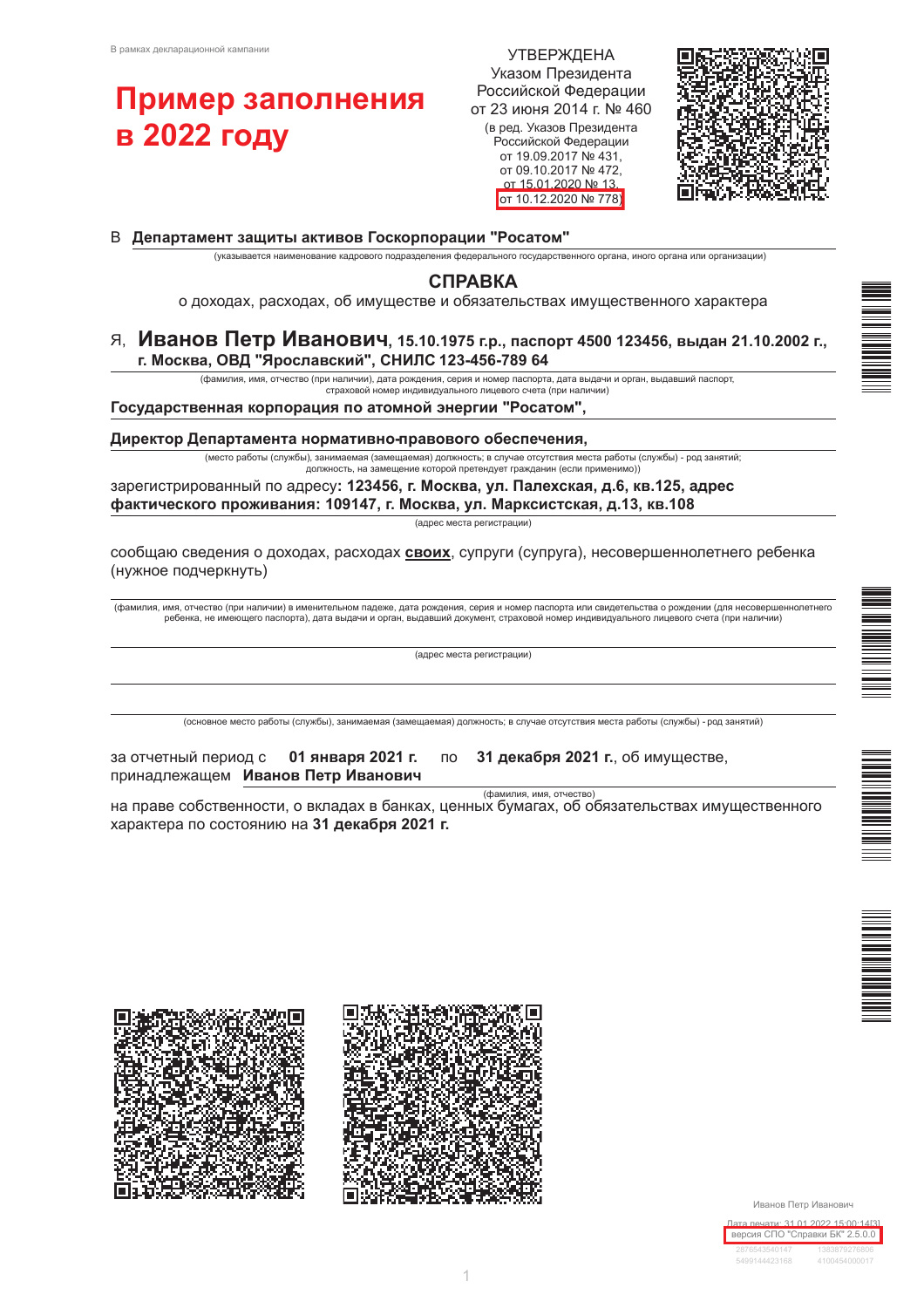# Пример заполнения **в 2022 году**

**УТВЕРЖДЕНА** Указом Президента Российской Федерации от 23 июня 2014 г. № 460 (в ред. Указов Президента Российской Федерации от 19.09.2017 № 431, от 09.10.2017 № 472, от 15 01 2020 № 13 от 10.12.2020 № 778)



#### В Департамент защиты активов Госкорпорации "Росатом"

(указывается наименование кадрового подразделения федерального государственного органа, иного органа или организации)

# **СПРАВКА**

о доходах, расходах, об имуществе и обязательствах имущественного характера

#### Я, Иванов Петр Иванович, 15.10.1975 г.р., паспорт 4500 123456, выдан 21.10.2002 г., г. Москва, ОВД "Ярославский", СНИЛС 123-456-789 64

(фамилия, имя, отчество (при наличии), дата рождения, серия и номер паспорта, дата выдачи и орган, выдавший паспорт, страховой номер индивидуального лицевого счета (при наличии)

#### Государственная корпорация по атомной энергии "Росатом",

Директор Департамента нормативно-правового обеспечения,

(место работы (службы), занимаемая (замещаемая) должность; в случае отсутствия места работы (службы) - род занятий; должность, на замещение которой претендует гражданин (если применимо)

зарегистрированный по адресу: 123456, г. Москва, ул. Палехская, д.6, кв.125, адрес фактического проживания: 109147, г. Москва, ул. Марксистская, д.13, кв.108

(адрес места регистрации)

сообщаю сведения о доходах, расходах своих, супруги (супруга), несовершеннолетнего ребенка (нужное подчеркнуть)

(фамилия, имя, отчество (при наличии) в именительном падеже, дата рождения, серия и номер паспорта или свидетельства о рождении (для несовершеннолетнего ребенка, не имеющего паспорта), дата выдачи и орган, выдавший документ, страховой номер индивидуального лицевого счета (при наличии)

(адрес места регистрации)

(основное место работы (службы), занимаемая (замещаемая) должность; в случае отсутствия места работы (службы) - род занятий)

| за отчетный период с | 01 января 2021 г.    |
|----------------------|----------------------|
| принадлежащем        | Иванов Петр Иванович |

3

31 декабря 2021 г., об имуществе,

(фамилия, имя, отчество)

на праве собственности, о вкладах в банках, ценных бумагах, об обязательствах имущественного характера по состоянию на 31 декабря 2021 г.

**NO** 









1

Иванов Петр Иванович



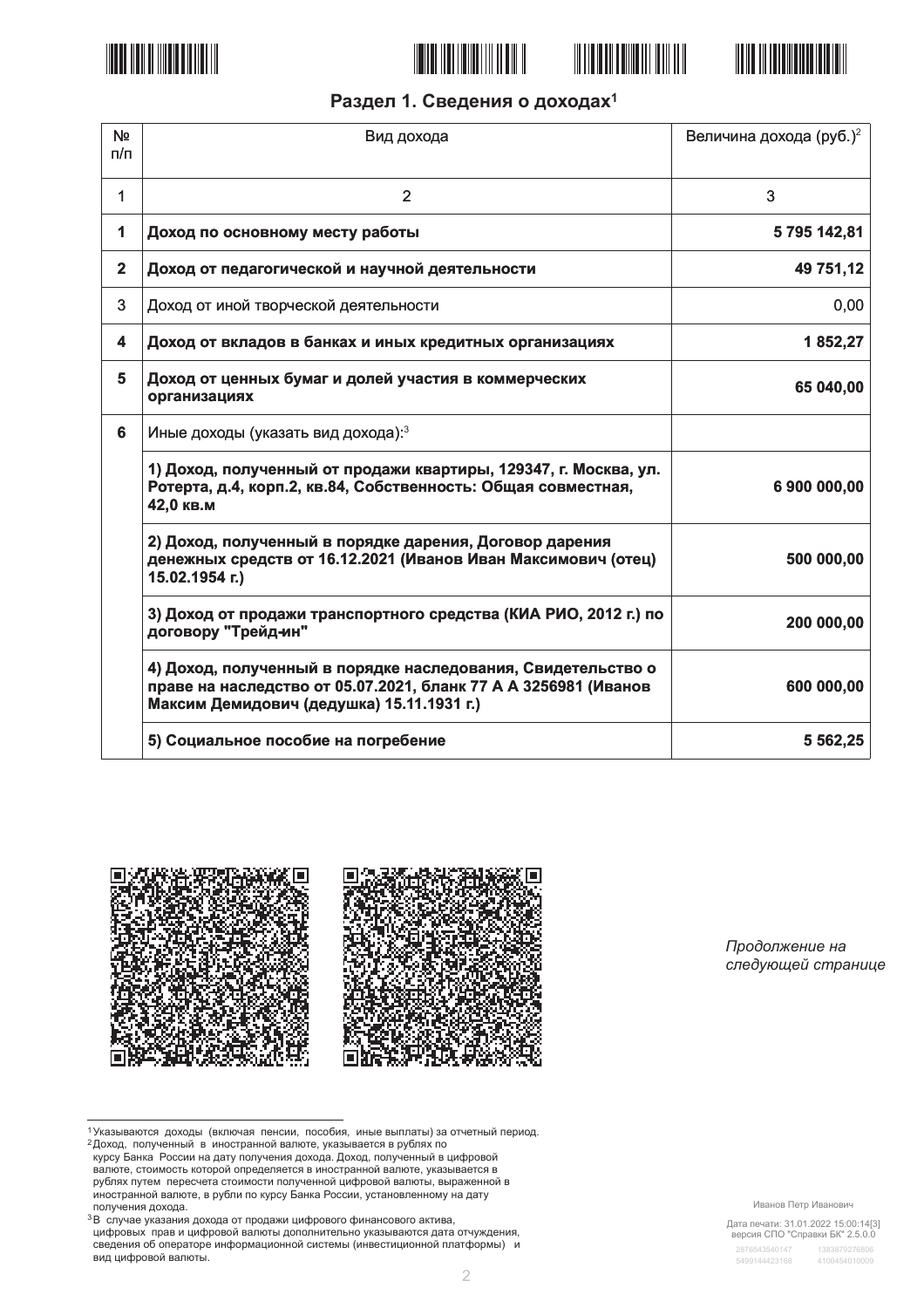







# Раздел 1. Сведения о доходах<sup>1</sup>

| N <sub>2</sub><br>n/n | Вид дохода                                                                                                                                                                   | Величина дохода (руб.) <sup>2</sup> |
|-----------------------|------------------------------------------------------------------------------------------------------------------------------------------------------------------------------|-------------------------------------|
| 1                     | 2                                                                                                                                                                            | 3                                   |
| 1                     | Доход по основному месту работы                                                                                                                                              | 5795142,81                          |
| $\overline{2}$        | Доход от педагогической и научной деятельности                                                                                                                               | 49 751,12                           |
| 3                     | Доход от иной творческой деятельности                                                                                                                                        | 0,00                                |
| 4                     | Доход от вкладов в банках и иных кредитных организациях                                                                                                                      | 1852,27                             |
| 5                     | Доход от ценных бумаг и долей участия в коммерческих<br>организациях                                                                                                         | 65 040,00                           |
| 6                     | Иные доходы (указать вид дохода): 3                                                                                                                                          |                                     |
|                       | 1) Доход, полученный от продажи квартиры, 129347, г. Москва, ул.<br>Ротерта, д.4, корп.2, кв.84, Собственность: Общая совместная,<br>42,0 кв.м                               | 6 900 000,00                        |
|                       | 2) Доход, полученный в порядке дарения, Договор дарения<br>денежных средств от 16.12.2021 (Иванов Иван Максимович (отец)<br>15.02.1954 г.)                                   | 500 000,00                          |
|                       | 3) Доход от продажи транспортного средства (КИА РИО, 2012 г.) по<br>договору "Трейд-ин"                                                                                      | 200 000,00                          |
|                       | 4) Доход, полученный в порядке наследования, Свидетельство о<br>праве на наследство от 05.07.2021, бланк 77 А А 3256981 (Иванов<br>Максим Демидович (дедушка) 15.11.1931 г.) | 600 000,00                          |
|                       | 5) Социальное пособие на погребение                                                                                                                                          | 5 5 6 2, 25                         |



Продолжение на следующей странице

Дата печати: 31.01.2022 15:00:14[3]<br>версия СПО "Справки БК" 2.5.0.0

<sup>1</sup> Указываются доходы (включая пенсии, пособия, иные выплаты) за отчетный период.

и с доход, полученный в иностранной валюте, указывается в рублях по именный в иностранной валюте, указывается в рублях по курсу Банка России на дату полученняй дохода. Доход, полученный в цифровой валюте, стоимость которо валюте, стоимость котором определяется в иностранной валюты, указывается в рублях путем пересчета стоимости полученной цифровой валюты, выраженной в<br>иностранной валюте, в рубли по курсу Банка России, установленному на дат получения дохода.

<sup>&</sup>lt;sup>3</sup>В случае указания дохода от продажи цифрового финансового актива, и случае у маслили докада от продали телевизорования, детель составили доказываются дата отчуждения,<br>сведения об операторе информационной системы (инвестиционной платформы) и вид цифровой валюты.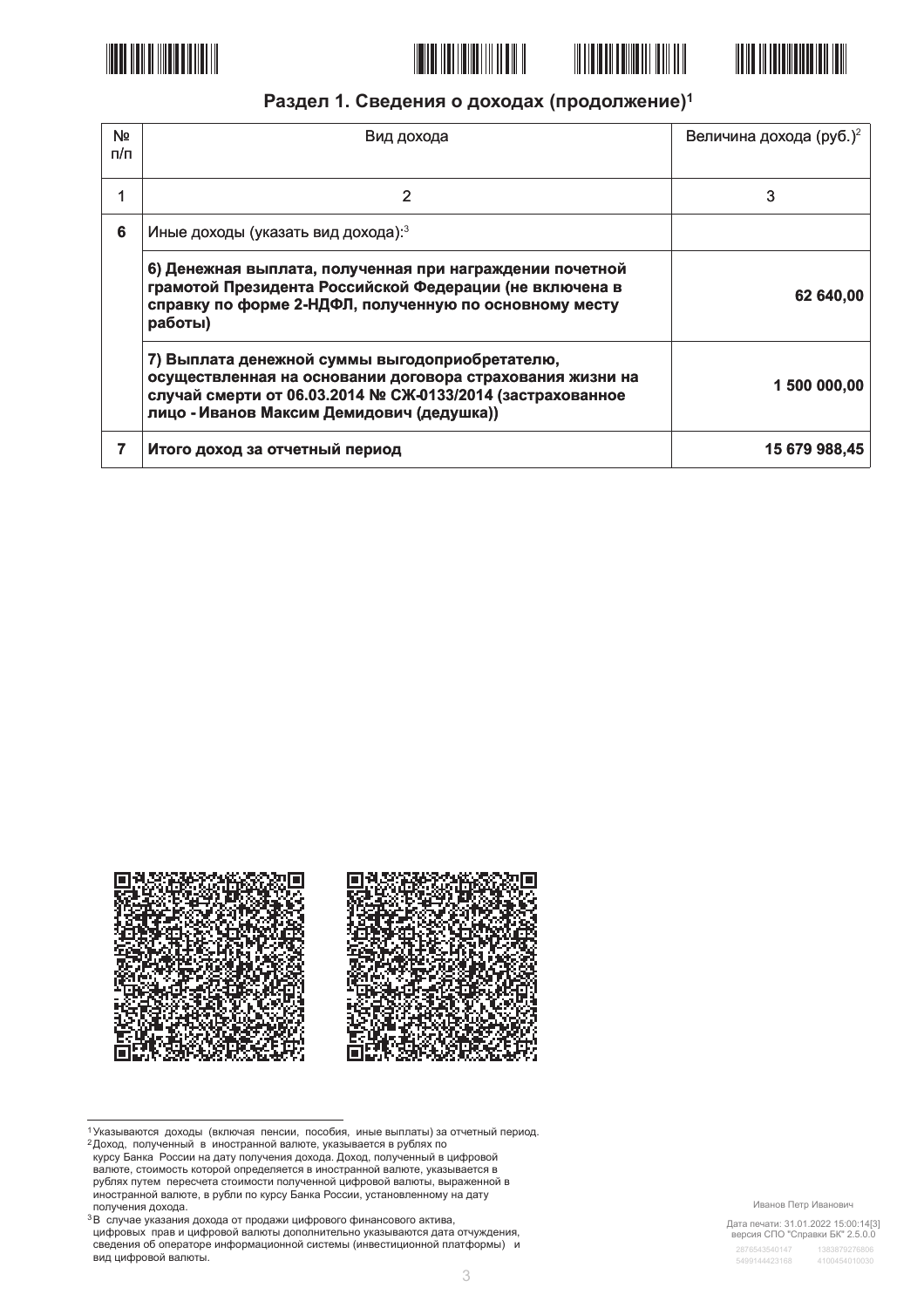







# Раздел 1. Сведения о доходах (продолжение)<sup>1</sup>

| N <sub>2</sub><br>п/п | Вид дохода                                                                                                                                                                                                             | Величина дохода (руб.) <sup>2</sup> |
|-----------------------|------------------------------------------------------------------------------------------------------------------------------------------------------------------------------------------------------------------------|-------------------------------------|
|                       | 2                                                                                                                                                                                                                      | 3                                   |
| 6                     | Иные доходы (указать вид дохода): 3                                                                                                                                                                                    |                                     |
|                       | 6) Денежная выплата, полученная при награждении почетной<br>грамотой Президента Российской Федерации (не включена в<br>справку по форме 2-НДФЛ, полученную по основному месту<br>работы)                               | 62 640,00                           |
|                       | 7) Выплата денежной суммы выгодоприобретателю,<br>осуществленная на основании договора страхования жизни на<br>случай смерти от 06.03.2014 № СЖ-0133/2014 (застрахованное<br>лицо - Иванов Максим Демидович (дедушка)) | 1 500 000,00                        |
|                       | Итого доход за отчетный период                                                                                                                                                                                         | 15 679 988,45                       |



1 Указываются доходы (включая пенсии, пособия, иные выплаты) за отчетный период.

- и сложавые со применя в иностранной валюте, иссоеди, и пострание с со примененый в доход, полученный в иностранной валюте, указывается в рублях по<br>курсу Банка России на дату получения дохода. Доход, полученный в цифровой<br> валюте, стоимость котором определяется в иностранной валюты, указывается в рублях путем пересчета стоимости полученной цифровой валюты, выраженной в<br>иностранной валюте, в рубли по курсу Банка России, установленному на дат получения дохода.
- <sup>3</sup>В случае указания дохода от продажи цифрового финансового актива, и случае у маслили докада от продали телевизорования, детель составили доказываются дата отчуждения,<br>сведения об операторе информационной системы (инвестиционной платформы) и вид цифровой валюты.

Иванов Петр Иванович

Дата печати: 31.01.2022 15:00:14[3]<br>версия СПО "Справки БК" 2.5.0.0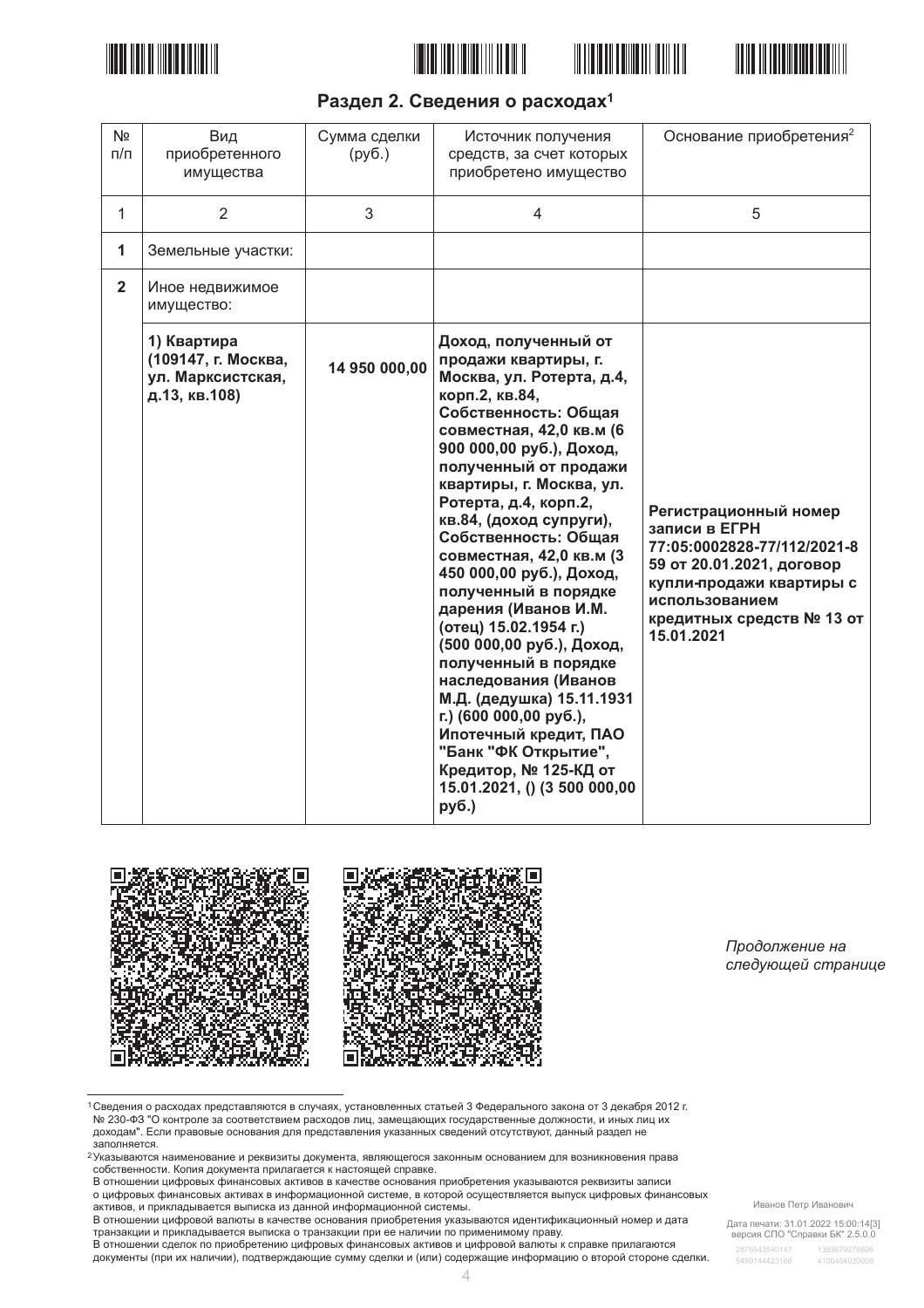







# Раздел 2. Сведения о расходах<sup>1</sup>

| N <sub>2</sub><br>$\Pi/\Pi$ | Вид<br>приобретенного<br>имущества                                       | Сумма сделки<br>(py6.) | Источник получения<br>средств, за счет которых<br>приобретено имущество                                                                                                                                                                                                                                                                                                                                                                                                                                                                                                                                                                                                                              | Основание приобретения <sup>2</sup>                                                                                                                                                         |
|-----------------------------|--------------------------------------------------------------------------|------------------------|------------------------------------------------------------------------------------------------------------------------------------------------------------------------------------------------------------------------------------------------------------------------------------------------------------------------------------------------------------------------------------------------------------------------------------------------------------------------------------------------------------------------------------------------------------------------------------------------------------------------------------------------------------------------------------------------------|---------------------------------------------------------------------------------------------------------------------------------------------------------------------------------------------|
| $\mathbf{1}$                | $\overline{2}$                                                           | 3                      | $\overline{4}$                                                                                                                                                                                                                                                                                                                                                                                                                                                                                                                                                                                                                                                                                       | 5                                                                                                                                                                                           |
| 1                           | Земельные участки:                                                       |                        |                                                                                                                                                                                                                                                                                                                                                                                                                                                                                                                                                                                                                                                                                                      |                                                                                                                                                                                             |
| $\overline{2}$              | Иное недвижимое<br>имущество:                                            |                        |                                                                                                                                                                                                                                                                                                                                                                                                                                                                                                                                                                                                                                                                                                      |                                                                                                                                                                                             |
|                             | 1) Квартира<br>(109147, г. Москва,<br>ул. Марксистская,<br>д.13, кв.108) | 14 950 000,00          | Доход, полученный от<br>продажи квартиры, г.<br>Москва, ул. Ротерта, д.4,<br>корп.2, кв.84,<br>Собственность: Общая<br>совместная, 42,0 кв.м (6<br>900 000,00 руб.), Доход,<br>полученный от продажи<br>квартиры, г. Москва, ул.<br>Ротерта, д.4, корп.2,<br>кв.84, (доход супруги),<br>Собственность: Общая<br>совместная, 42,0 кв.м (3<br>450 000,00 руб.), Доход,<br>полученный в порядке<br>дарения (Иванов И.М.<br>(отец) 15.02.1954 г.)<br>(500 000,00 руб.), Доход,<br>полученный в порядке<br>наследования (Иванов<br>М.Д. (дедушка) 15.11.1931<br>г.) (600 000,00 руб.),<br>Ипотечный кредит, ПАО<br>"Банк "ФК Открытие",<br>Кредитор, № 125-КД от<br>15.01.2021, () (3 500 000,00<br>руб.) | Регистрационный номер<br>записи в ЕГРН<br>77:05:0002828-77/112/2021-8<br>59 от 20.01.2021, договор<br>купли-продажи квартиры с<br>использованием<br>кредитных средств № 13 от<br>15.01.2021 |



Продолжение на следующей странице

1 Сведения о расходах представляются в случаях, установленных статьей 3 Федерального закона от 3 декабря 2012 г. № 230-ФЗ "О контроле за соответствием расходов лиц, замещающих государственные должности, и иных лиц их доходам". Если правовые основания для представления указанных сведений отсутствуют, данный раздел не

в отношении цифровых финансовых активов в качестве основания приобретения указываются реквизиты записи о цифровых финансовых активах в информационной системе, в которой осуществляется выпуск цифровых финансовых

о дикретели финансовых активом отношения и положительной системы.<br>В отношении цифровой валюты в качестве основания приобретения указываются идентификационный номер и дата и отношении сделок по применять на поставлении при ее наличии по применимому праву.<br>В отношении сделок по приобретению цифровых финансовых активов и цифровой валюты к справке прилагаются

документы (при их наличии), подтверждающие сумму сделки и (или) содержащие информацию о второй стороне сделки.

Дата печати: 31.01.2022 15:00:14[3]<br>версия СПО "Справки БК" 2.5.0.0

доплняется.<br>Заполняется.<br><sup>2</sup>Указываются наименование и реквизиты документа, являющегося законным основанием для возникновения права<br>собственности. Копия документа прилагается к настоящей справке.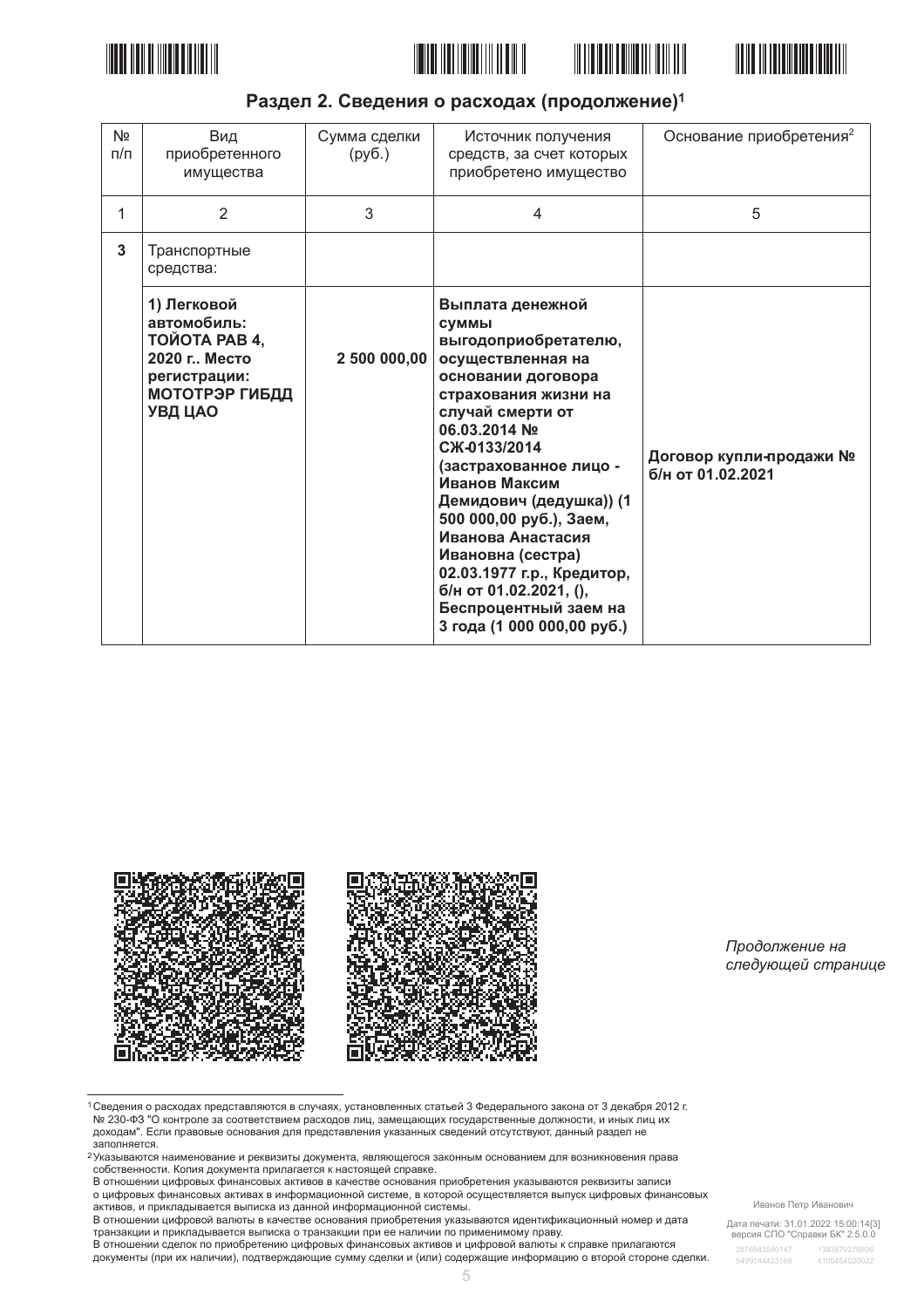







# Раздел 2. Сведения о расходах (продолжение)<sup>1</sup>

| N <sub>2</sub><br>$\pi/\pi$ | Вид<br>приобретенного<br>имущества                                                                                       | Сумма сделки<br>(py6.) | Источник получения<br>средств, за счет которых<br>приобретено имущество                                                                                                                                                                                                                                                                                                                                                                    | Основание приобретения <sup>2</sup>          |
|-----------------------------|--------------------------------------------------------------------------------------------------------------------------|------------------------|--------------------------------------------------------------------------------------------------------------------------------------------------------------------------------------------------------------------------------------------------------------------------------------------------------------------------------------------------------------------------------------------------------------------------------------------|----------------------------------------------|
| 1                           | $\overline{2}$                                                                                                           | 3                      | $\overline{4}$                                                                                                                                                                                                                                                                                                                                                                                                                             | 5                                            |
| 3                           | Транспортные<br>средства:                                                                                                |                        |                                                                                                                                                                                                                                                                                                                                                                                                                                            |                                              |
|                             | 1) Легковой<br>автомобиль:<br><b>ТОЙОТА РАВ 4,</b><br>2020 г., Место<br>регистрации:<br><b>МОТОТРЭР ГИБДД</b><br>УВД ЦАО | 2 500 000,00           | Выплата денежной<br><b>СУММЫ</b><br>выгодоприобретателю,<br>осуществленная на<br>основании договора<br>страхования жизни на<br>случай смерти от<br>06.03.2014 No<br>CЖ-0133/2014<br>(застрахованное лицо -<br>Иванов Максим<br>Демидович (дедушка)) (1<br>500 000,00 руб.), Заем,<br>Иванова Анастасия<br>Ивановна (сестра)<br>02.03.1977 г.р., Кредитор,<br>б/н от 01.02.2021, (),<br>Беспроцентный заем на<br>3 года (1 000 000,00 руб.) | Договор купли-продажи №<br>б/н от 01.02.2021 |



Продолжение на следующей странице

1 Сведения о расходах представляются в случаях, установленных статьей 3 Федерального закона от 3 декабря 2012 г. № 230-ФЗ "О контроле за соответствием расходов лиц, замещающих государственные должности, и иных лиц их доходам". Если правовые основания для представления указанных сведений отсутствуют, данный раздел не

доплняется.<br>Заполняется.<br><sup>2</sup>Указываются наименование и реквизиты документа, являющегося законным основанием для возникновения права<br>собственности. Копия документа прилагается к настоящей справке.

в отношении цифровых финансовых активов в качестве основания приобретения указываются реквизиты записи о цифровых финансовых активах в информационной системе, в которой осуществляется выпуск цифровых финансовых о дикретели финансовых активах в инфермационной системы.<br>В отношении цифровой валюты в качестве основания приобретения указываются идентификационный номер и дата

и отношении сделок по применять на поставлении при ее наличии по применимому праву.<br>В отношении сделок по приобретению цифровых финансовых активов и цифровой валюты к справке прилагаются

документы (при их наличии), подтверждающие сумму сделки и (или) содержащие информацию о второй стороне сделки.

Дата печати: 31.01.2022 15:00:14[3]<br>версия СПО "Справки БК" 2.5.0.0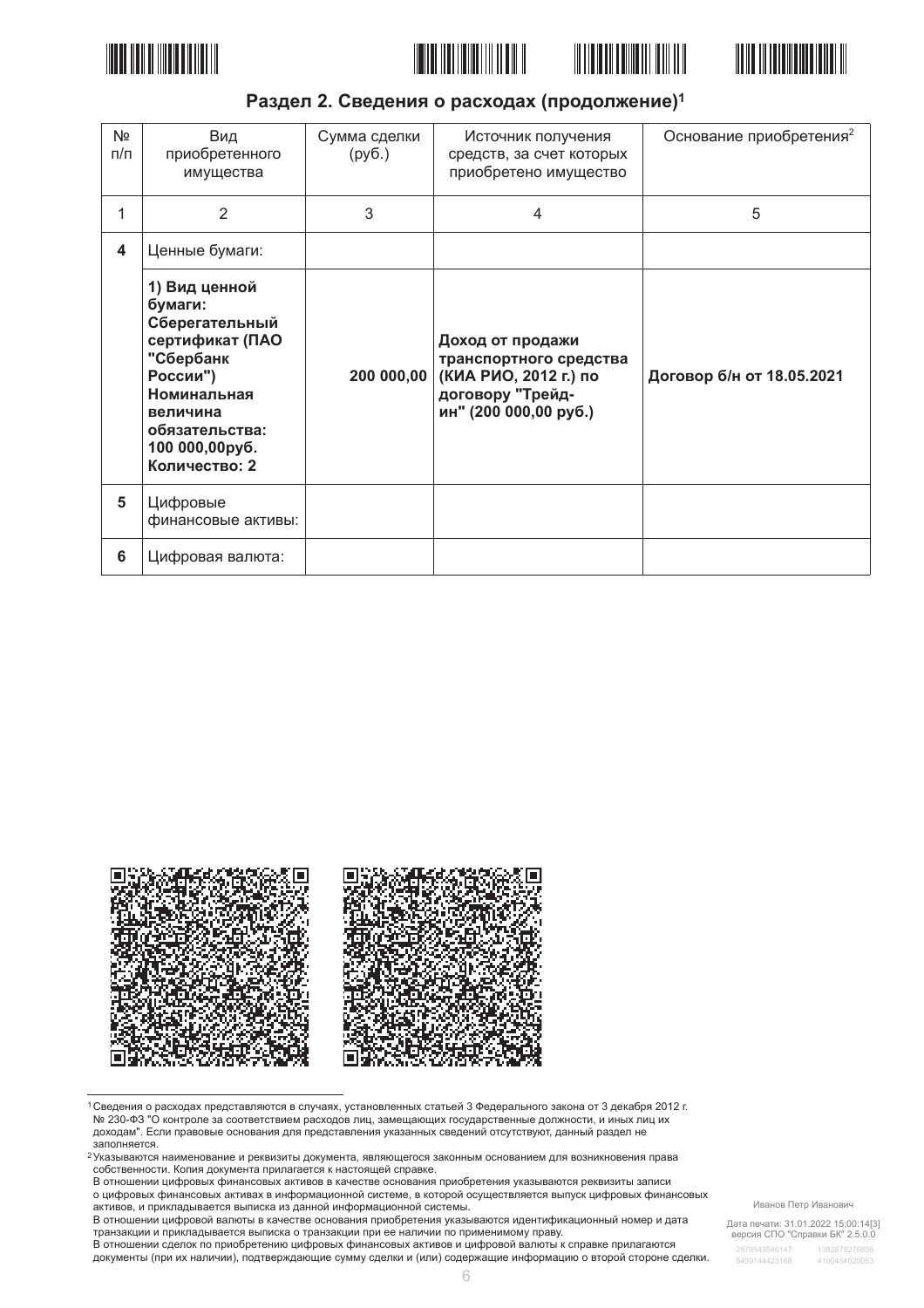







# Раздел 2. Сведения о расходах (продолжение)<sup>1</sup>

| Nº<br>п/п               | Вид<br>приобретенного<br>имущества                                                                                                                                     | Сумма сделки<br>(py6.) | Источник получения<br>средств, за счет которых<br>приобретено имущество                                          | Основание приобретения <sup>2</sup> |
|-------------------------|------------------------------------------------------------------------------------------------------------------------------------------------------------------------|------------------------|------------------------------------------------------------------------------------------------------------------|-------------------------------------|
| 1                       | 2                                                                                                                                                                      | 3                      | 4                                                                                                                | 5                                   |
| $\overline{\mathbf{4}}$ | Ценные бумаги:                                                                                                                                                         |                        |                                                                                                                  |                                     |
|                         | 1) Вид ценной<br>бумаги:<br>Сберегательный<br>сертификат (ПАО<br>"Сбербанк<br>России")<br>Номинальная<br>величина<br>обязательства:<br>100 000,00руб.<br>Количество: 2 | 200 000,00             | Доход от продажи<br>транспортного средства<br>(КИА РИО, 2012 г.) по<br>договору "Трейд-<br>ин" (200 000,00 руб.) | Договор б/н от 18.05.2021           |
| 5                       | Цифровые<br>финансовые активы:                                                                                                                                         |                        |                                                                                                                  |                                     |
| 6                       | Цифровая валюта:                                                                                                                                                       |                        |                                                                                                                  |                                     |



1 Сведения о расходах представляются в случаях, установленных статьей 3 Федерального закона от 3 декабря 2012 г. № 230-ФЗ "О контроле за соответствием расходов лиц, замещающих государственные должности, и иных лиц их доходам". Если правовые основания для представления указанных сведений отсутствуют, данный раздел не

доплняется.<br>Заполняется.<br><sup>2</sup>Указываются наименование и реквизиты документа, являющегося законным основанием для возникновения права<br>собственности. Копия документа прилагается к настоящей справке.

в отношении цифровых финансовых активов в качестве основания приобретения указываются реквизиты записи о цифровых финансовых активах в информационной системе, в которой осуществляется выпуск цифровых финансовых о дикретели финансовых активах в инфермационной системы.<br>В отношении цифровой валюты в качестве основания приобретения указываются идентификационный номер и дата

и отношении сделок по применять на поставлении при ее наличии по применимому праву.<br>В отношении сделок по приобретению цифровых финансовых активов и цифровой валюты к справке прилагаются

документы (при их наличии), подтверждающие сумму сделки и (или) содержащие информацию о второй стороне сделки.

Иванов Петр Иванович

Дата печати: 31.01.2022 15:00:14[3]<br>версия СПО "Справки БК" 2.5.0.0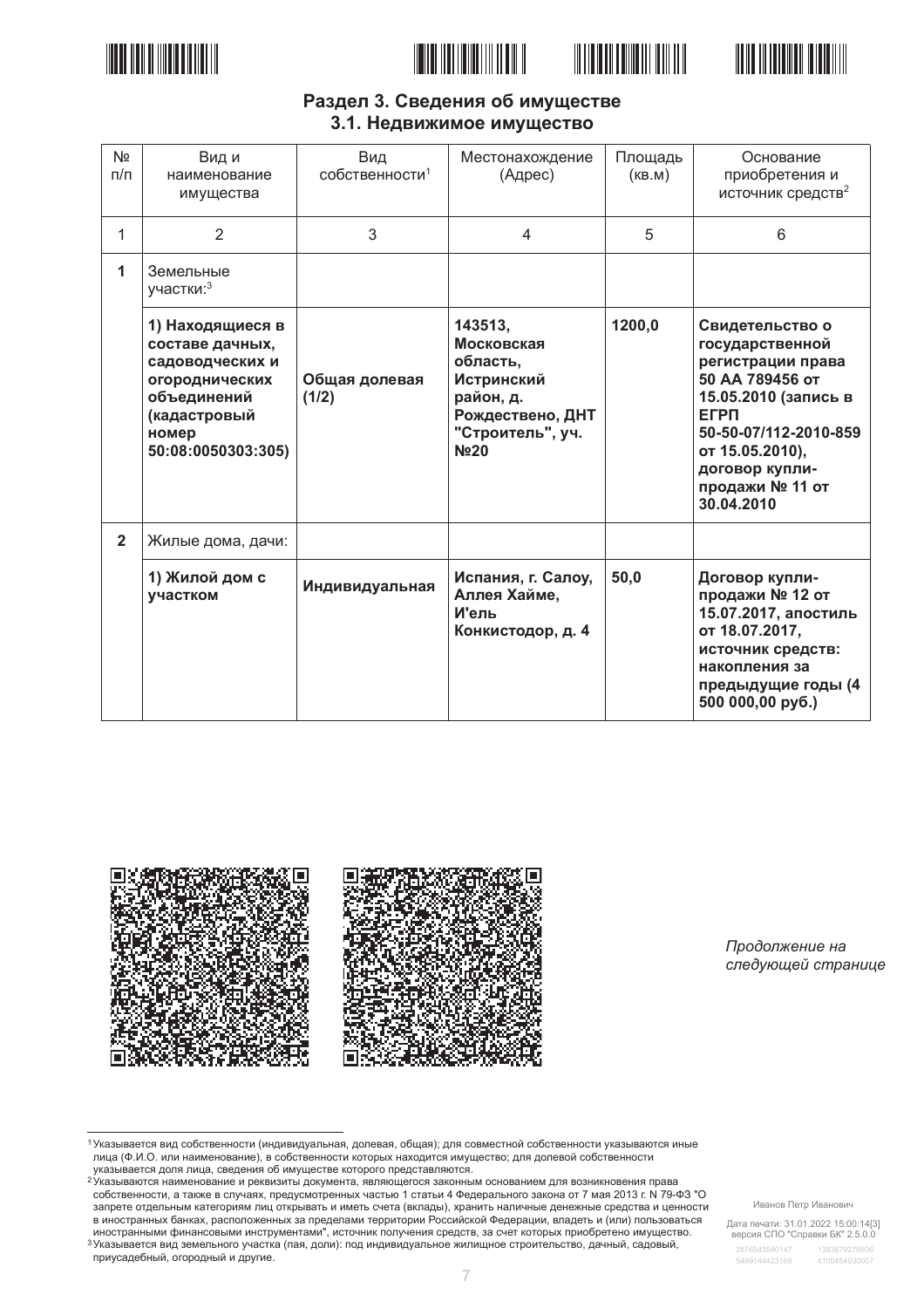





# Раздел 3. Сведения об имуществе 3.1. Недвижимое имущество

| N <sub>2</sub><br>$\Box/\Box$ | Вид и<br>наименование<br>имущества                                                                                                     | Вид<br>собственности <sup>1</sup> | Местонахождение<br>(Адрес)                                                                                                            | Площадь<br>(KB.M) | Основание<br>приобретения и<br>источник средств <sup>2</sup>                                                                                                                                                     |
|-------------------------------|----------------------------------------------------------------------------------------------------------------------------------------|-----------------------------------|---------------------------------------------------------------------------------------------------------------------------------------|-------------------|------------------------------------------------------------------------------------------------------------------------------------------------------------------------------------------------------------------|
| 1                             | 2                                                                                                                                      | 3                                 | $\overline{4}$                                                                                                                        | 5                 | 6                                                                                                                                                                                                                |
| 1                             | Земельные<br>участки: 3                                                                                                                |                                   |                                                                                                                                       |                   |                                                                                                                                                                                                                  |
|                               | 1) Находящиеся в<br>составе дачных,<br>садоводческих и<br>огороднических<br>объединений<br>(кадастровый<br>номер<br>50:08:0050303:305) | Общая долевая<br>(1/2)            | 143513,<br>Московская<br>область,<br><b>Истринский</b><br>район, д.<br>Рождествено, ДНТ<br>"Строитель", уч.<br><b>N</b> <sup>20</sup> | 1200,0            | Свидетельство о<br>государственной<br>регистрации права<br>50 АА 789456 от<br>15.05.2010 (запись в<br><b>ELPU</b><br>50-50-07/112-2010-859<br>от 15.05.2010),<br>договор купли-<br>продажи № 11 от<br>30.04.2010 |
| $\overline{2}$                | Жилые дома, дачи:                                                                                                                      |                                   |                                                                                                                                       |                   |                                                                                                                                                                                                                  |
|                               | 1) Жилой дом с<br>участком                                                                                                             | Индивидуальная                    | Испания, г. Салоу,<br>Аллея Хайме,<br>И'ель<br>Конкистодор, д. 4                                                                      | 50,0              | Договор купли-<br>продажи № 12 от<br>15.07.2017, апостиль<br>от 18.07.2017,<br>источник средств:<br>накопления за<br>предыдущие годы (4<br>500 000,00 py6.)                                                      |



Продолжение на следующей странице

1 Указывается вид собственности (индивидуальная, долевая, общая); для совместной собственности указываются иные лица (Ф.И.О. или наименование), в собственности которых находится имущество; для долевой собственности<br>указывается доля лица, сведения об имуществе которого представляются.

уменности при политиности и составляет с составляет с представительного составляет с при принимательно составл<br>Указываются наименование и реквизиты документа, являющегося законным основанием для возникновения права собственности, а также в случаях, предусмотренных частью 1 статьи 4 Федерального закона от 7 мая 2013 г. № 79-ФЗ "О запрете отдельным категориям лиц открывать и иметь счета (вклады), хранить наличные денежные средства и ценности в иностранных банках, расположенных за пределами территории Российской Федерации, владеть и (или) пользоваться иностранными финансовыми инструментами", источник получения средств, за счет которых приобретено имущество.<br>3 Указывается вид земельного участка (пая, доли): под индивидуальное жилищное строительство, дачный, садовый,

приусадебный, огородный и другие.

Иванов Петр Иванович

Дата печати: 31.01.2022 15:00:14[3]<br>версия СПО "Справки БК" 2.5.0.0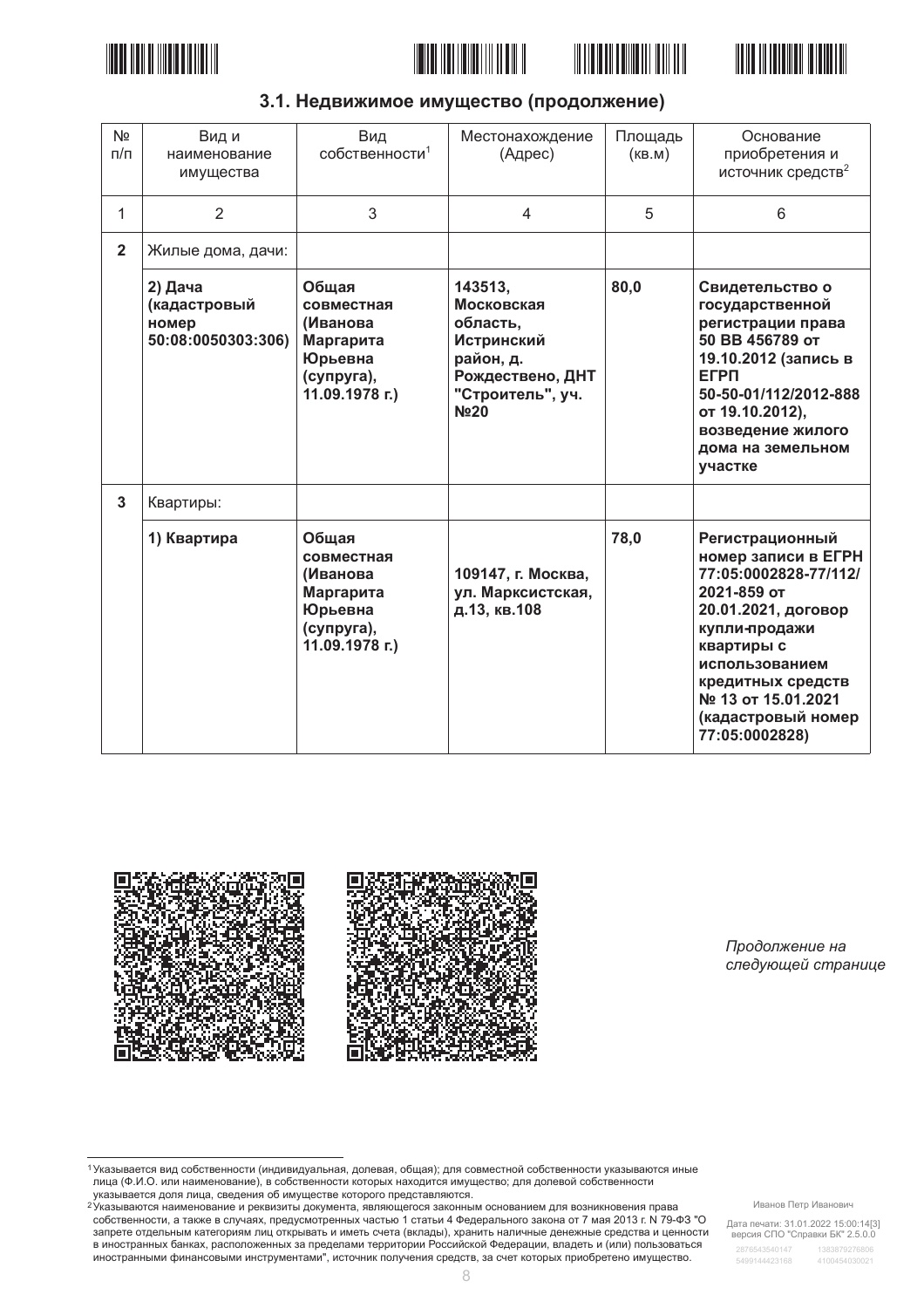







| 3.1. Недвижимое имущество (продолжение) |  |  |
|-----------------------------------------|--|--|
|-----------------------------------------|--|--|

| N <sub>2</sub><br>$\pi/\pi$ | Вид и<br>наименование<br>имущества                     | Вид<br>собственности <sup>1</sup>                                                       | Местонахождение<br>(Адрес)                                                                                                 | Площадь<br>(KB.M) | Основание<br>приобретения и<br>источник средств <sup>2</sup>                                                                                                                                                                              |
|-----------------------------|--------------------------------------------------------|-----------------------------------------------------------------------------------------|----------------------------------------------------------------------------------------------------------------------------|-------------------|-------------------------------------------------------------------------------------------------------------------------------------------------------------------------------------------------------------------------------------------|
| 1                           | $\overline{2}$                                         | 3                                                                                       | $\overline{4}$                                                                                                             | 5                 | 6                                                                                                                                                                                                                                         |
| $\overline{2}$              | Жилые дома, дачи:                                      |                                                                                         |                                                                                                                            |                   |                                                                                                                                                                                                                                           |
|                             | 2) Дача<br>(кадастровый<br>номер<br>50:08:0050303:306) | Общая<br>совместная<br>(Иванова<br>Маргарита<br>Юрьевна<br>(супруга),<br>11.09.1978 г.) | 143513,<br>Московская<br>область,<br><b>Истринский</b><br>район, д.<br>Рождествено, ДНТ<br>"Строитель", уч.<br><b>No20</b> | 80,0              | Свидетельство о<br>государственной<br>регистрации права<br>50 BB 456789 OT<br>19.10.2012 (запись в<br><b>EFPN</b><br>50-50-01/112/2012-888<br>от 19.10.2012),<br>возведение жилого<br>дома на земельном<br>участке                        |
| $\mathbf{3}$                | Квартиры:                                              |                                                                                         |                                                                                                                            |                   |                                                                                                                                                                                                                                           |
|                             | 1) Квартира                                            | Общая<br>совместная<br>(Иванова<br>Маргарита<br>Юрьевна<br>(супруга),<br>11.09.1978 г.) | 109147, г. Москва,<br>ул. Марксистская,<br>д.13, кв.108                                                                    | 78,0              | Регистрационный<br>номер записи в ЕГРН<br>77:05:0002828-77/112/<br>2021-859 от<br>20.01.2021, договор<br>купли-продажи<br>квартиры с<br>использованием<br>кредитных средств<br>№ 13 от 15.01.2021<br>(кадастровый номер<br>77:05:0002828) |



Продолжение на следующей странице

собственности, а также в случаях, предусмотренных частью 1 статьи 4 Федерального закона от 7 мая 2013 г. № 79-ФЗ "О запрете отдельным категориям лиц открывать и иметь счета (вклады), хранить наличные денежные средства и ценности<br>в иностранных банках, расположенных за пределами территории Российской Федерации, владеть и (или) пользовать иностранными финансовыми инструментами", источник получения средств, за счет которых приобретено имущество.

Дата печати: 31.01.2022 15:00:14[3]<br>версия СПО "Справки БК" 2.5.0.0

<sup>&</sup>lt;sup>1</sup> Указывается вид собственности (индивидуальная, долевая, общая); для совместной собственности указываются иные лица (Ф.И.О. или наименование), в собственности которых находится имущество; для долевой собственности лица (Ф.И.О. или наименование), в собственности которых находится имущество; для долевой собственности има, телеси доля лица, сведения об имуществе которого представляются.<br>Указывается доля лица, сведения об имуществе которого представляются.<br><sup>2</sup>Указываются наименование и реквизиты документа, являющегося законным основание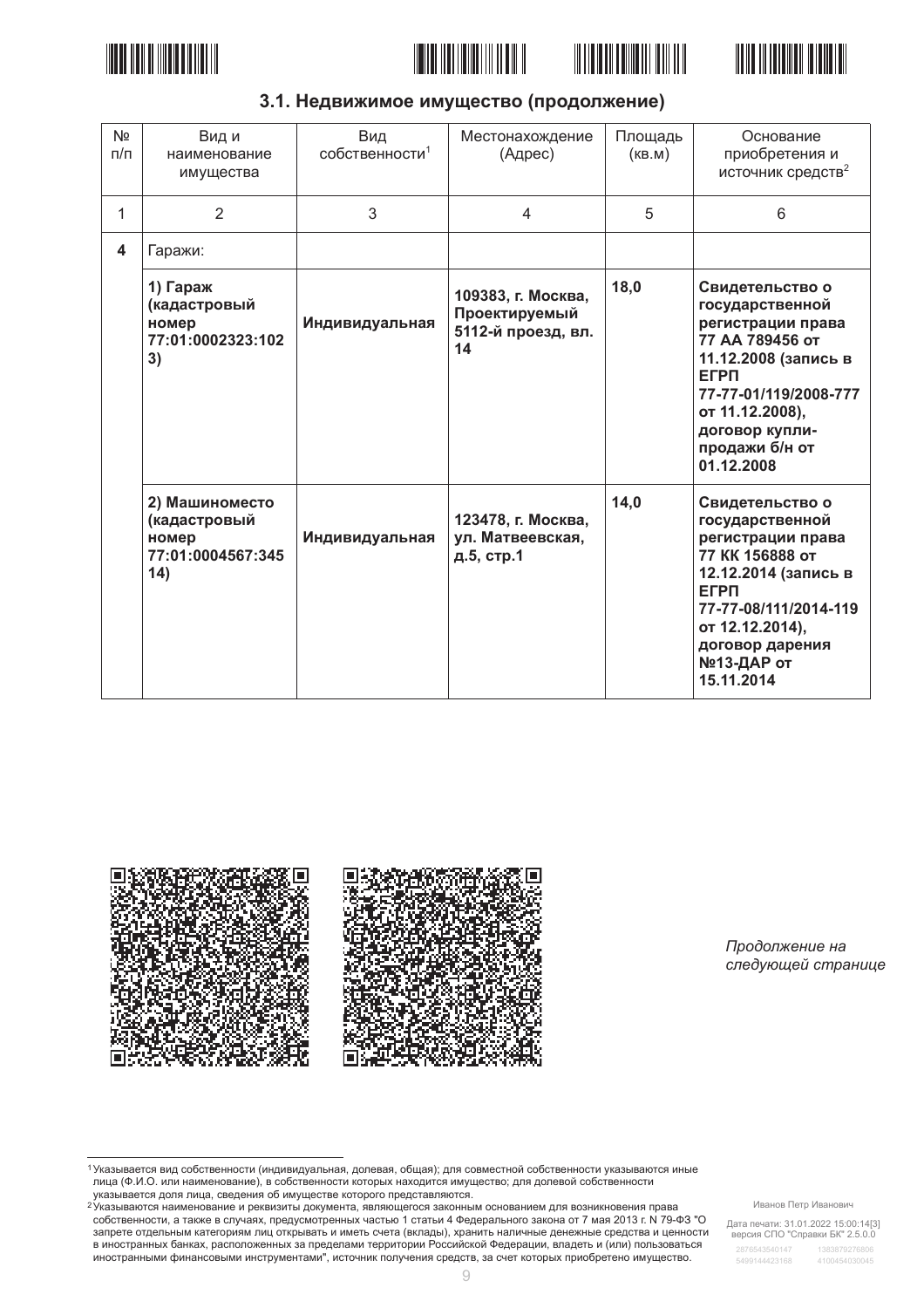







| Nº<br>$\pi/\pi$<br>1    | Вид и<br>наименование<br>имущества<br>$\overline{2}$                | Вид<br>собственности <sup>1</sup><br>3 | Местонахождение<br>(Адрес)<br>4                                 | Площадь<br>(KB.M)<br>5 | Основание<br>приобретения и<br>источник средств <sup>2</sup><br>6                                                                                                                                               |
|-------------------------|---------------------------------------------------------------------|----------------------------------------|-----------------------------------------------------------------|------------------------|-----------------------------------------------------------------------------------------------------------------------------------------------------------------------------------------------------------------|
|                         |                                                                     |                                        |                                                                 |                        |                                                                                                                                                                                                                 |
| $\overline{\mathbf{4}}$ | Гаражи:                                                             |                                        |                                                                 |                        |                                                                                                                                                                                                                 |
|                         | 1) Гараж<br>(кадастровый<br>номер<br>77:01:0002323:102<br>3)        | Индивидуальная                         | 109383, г. Москва,<br>Проектируемый<br>5112-й проезд, вл.<br>14 | 18,0                   | Свидетельство о<br>государственной<br>регистрации права<br>77 АА 789456 от<br>11.12.2008 (запись в<br><b>EFPN</b><br>77-77-01/119/2008-777<br>от 11.12.2008),<br>договор купли-<br>продажи б/н от<br>01.12.2008 |
|                         | 2) Машиноместо<br>(кадастровый<br>номер<br>77:01:0004567:345<br>14) | Индивидуальная                         | 123478, г. Москва,<br>ул. Матвеевская,<br>д.5, стр.1            | 14,0                   | Свидетельство о<br>государственной<br>регистрации права<br>77 КК 156888 от<br>12.12.2014 (запись в<br><b>EFPN</b><br>77-77-08/111/2014-119<br>от 12.12.2014),<br>договор дарения<br>№13-ДАР от<br>15.11.2014    |

3.1. Недвижимое имущество (продолжение)



Продолжение на следующей странице

<sup>1</sup> Указывается вид собственности (индивидуальная, долевая, общая); для совместной собственности указываются иные лица (Ф.И.О. или наименование), в собственности которых находится имущество; для долевой собственности лица (Ф.И.О. или наименование), в собственности которых находится имущество; для долевой собственности

има, телеси доля лица, сведения об имуществе которого представляются.<br>Указывается доля лица, сведения об имуществе которого представляются.<br><sup>2</sup>Указываются наименование и реквизиты документа, являющегося законным основание собственности, а также в случаях, предусмотренных частью 1 статьи 4 Федерального закона от 7 мая 2013 г. № 79-ФЗ "О запрете отдельным категориям лиц открывать и иметь счета (вклады), хранить наличные денежные средства и ценности в иностранных банках, расположенных за пределами территории Российской Федерации, владеть и (или) пользоваться иностранными финансовыми инструментами", источник получения средств, за счет которых приобретено имущество.

Иванов Петр Иванович

Дата печати: 31.01.2022 15:00:14[3]<br>версия СПО "Справки БК" 2.5.0.0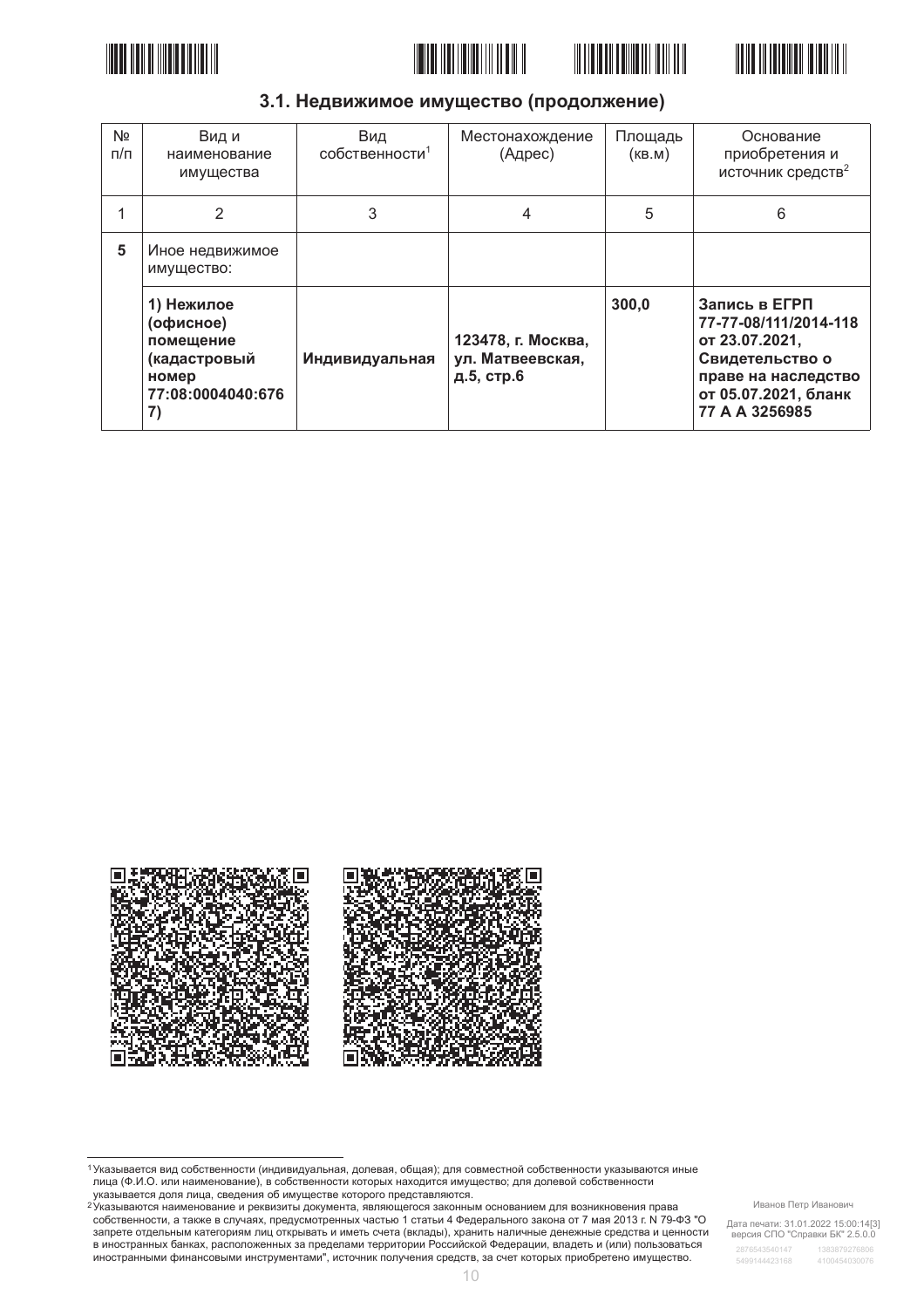







# 3.1. Недвижимое имущество (продолжение)

| N <sub>2</sub><br>$\Pi/\Pi$ | Вид и<br>наименование<br>имущества                                                       | Вид<br>собственности <sup>1</sup> | Местонахождение<br>(Адрес)                           | Площадь<br>(KB.M) | Основание<br>приобретения и<br>источник средств <sup>2</sup>                                                                                 |
|-----------------------------|------------------------------------------------------------------------------------------|-----------------------------------|------------------------------------------------------|-------------------|----------------------------------------------------------------------------------------------------------------------------------------------|
|                             | 2                                                                                        | 3                                 | 4                                                    | 5                 | 6                                                                                                                                            |
| 5                           | Иное недвижимое<br>имущество:                                                            |                                   |                                                      |                   |                                                                                                                                              |
|                             | 1) Нежилое<br>(офисное)<br>помещение<br>(кадастровый<br>номер<br>77:08:0004040:676<br>7) | Индивидуальная                    | 123478, г. Москва,<br>ул. Матвеевская,<br>д.5, стр.6 | 300,0             | Запись в ЕГРП<br>77-77-08/111/2014-118<br>от 23.07.2021,<br>Свидетельство о<br>праве на наследство<br>от 05.07.2021, бланк<br>77 A A 3256985 |



<sup>1</sup> Указывается вид собственности (индивидуальная, долевая, общая); для совместной собственности указываются иные лица (Ф.И.О. или наименование), в собственности которых находится имущество; для долевой собственности лица (Ф.И.О. или наименование), в собственности которых находится имущество; для долевой собственности има, телеси доля лица, сведения об имуществе которого представляются.<br>Указывается доля лица, сведения об имуществе которого представляются.<br><sup>2</sup>Указываются наименование и реквизиты документа, являющегося законным основание

собственности, а также в случаях, предусмотренных частью 1 статьи 4 Федерального закона от 7 мая 2013 г. № 79-ФЗ "О запрете отдельным категориям лиц открывать и иметь счета (вклады), хранить наличные денежные средства и ценности в иностранных банках, расположенных за пределами территории Российской Федерации, владеть и (или) пользоваться иностранными финансовыми инструментами", источник получения средств, за счет которых приобретено имущество.

Иванов Петр Иванович

Дата печати: 31.01.2022 15:00:14[3]<br>версия СПО "Справки БК" 2.5.0.0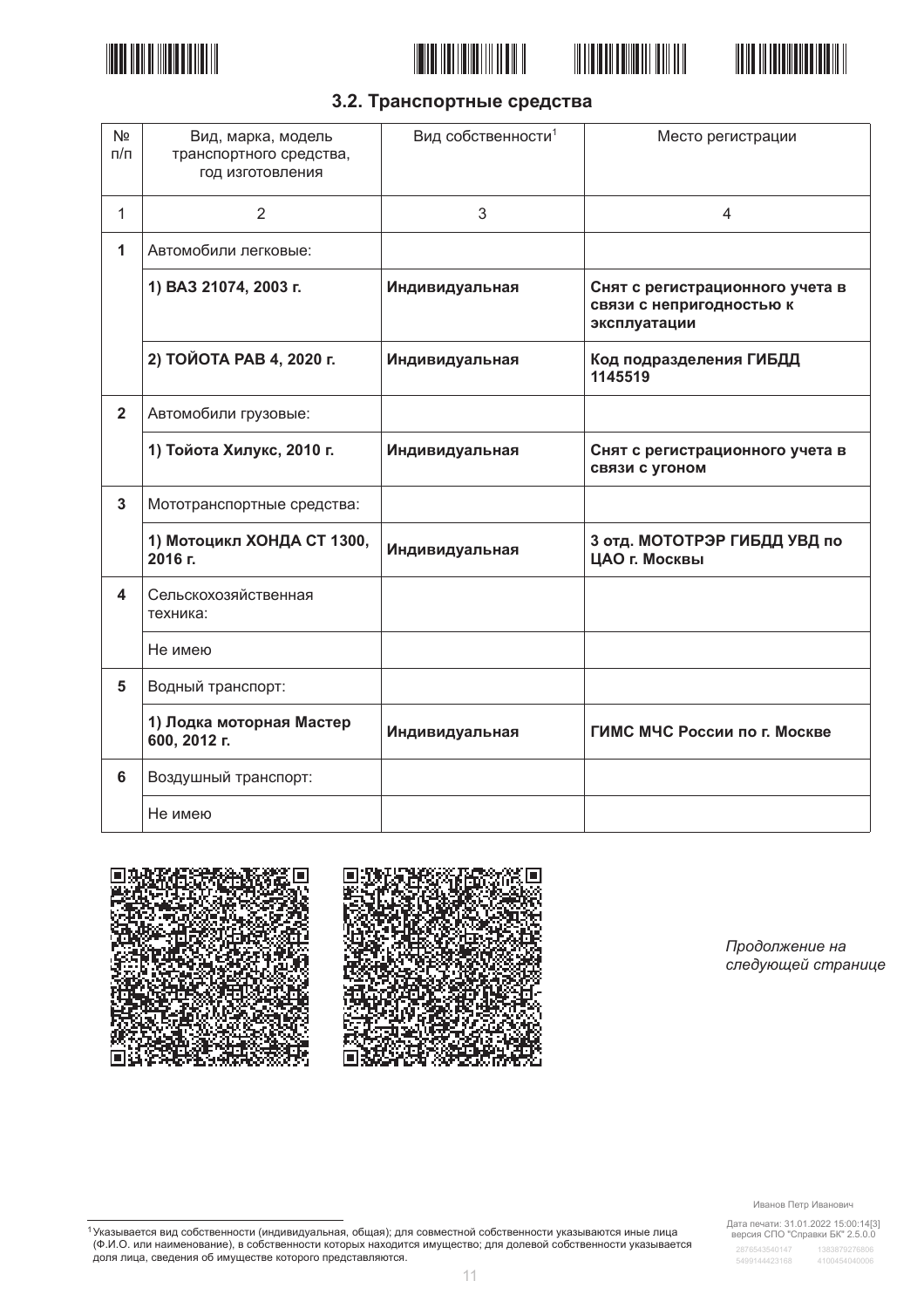







# 3.2. Транспортные средства

| N <sub>2</sub><br>$\Pi/\Pi$ | Вид, марка, модель<br>транспортного средства,<br>год изготовления | Вид собственности <sup>1</sup> | Место регистрации                                                           |
|-----------------------------|-------------------------------------------------------------------|--------------------------------|-----------------------------------------------------------------------------|
| $\mathbf{1}$                | 2                                                                 | 3                              | 4                                                                           |
| 1                           | Автомобили легковые:                                              |                                |                                                                             |
|                             | 1) ВАЗ 21074, 2003 г.                                             | Индивидуальная                 | Снят с регистрационного учета в<br>связи с непригодностью к<br>эксплуатации |
|                             | 2) ТОЙОТА РАВ 4, 2020 г.                                          | Индивидуальная                 | Код подразделения ГИБДД<br>1145519                                          |
| $\overline{2}$              | Автомобили грузовые:                                              |                                |                                                                             |
|                             | 1) Тойота Хилукс, 2010 г.                                         | Индивидуальная                 | Снят с регистрационного учета в<br>связи с угоном                           |
| 3                           | Мототранспортные средства:                                        |                                |                                                                             |
|                             | 1) Мотоцикл ХОНДА СТ 1300,<br>2016 г.                             | Индивидуальная                 | 3 отд. МОТОТРЭР ГИБДД УВД по<br>ЦАО г. Москвы                               |
| 4                           | Сельскохозяйственная<br>техника:                                  |                                |                                                                             |
|                             | Не имею                                                           |                                |                                                                             |
| 5                           | Водный транспорт:                                                 |                                |                                                                             |
|                             | 1) Лодка моторная Мастер<br>600, 2012 г.                          | Индивидуальная                 | ГИМС МЧС России по г. Москве                                                |
| $6\phantom{1}$              | Воздушный транспорт:                                              |                                |                                                                             |
|                             | Не имею                                                           |                                |                                                                             |





Продолжение на следующей странице

Иванов Петр Иванович

Дата печати: 31.01.2022 15:00:14[3]<br>версия СПО "Справки БК" 2.5.0.0

2876543540147 5499144423168 4100454040006

<sup>1</sup> Указывается вид собственности (индивидуальная, общая); для совместной собственности указываются иные лица<br>(Ф.И.О. или наименование), в собственности которых находится имущество; для долевой собственности указывается<br>д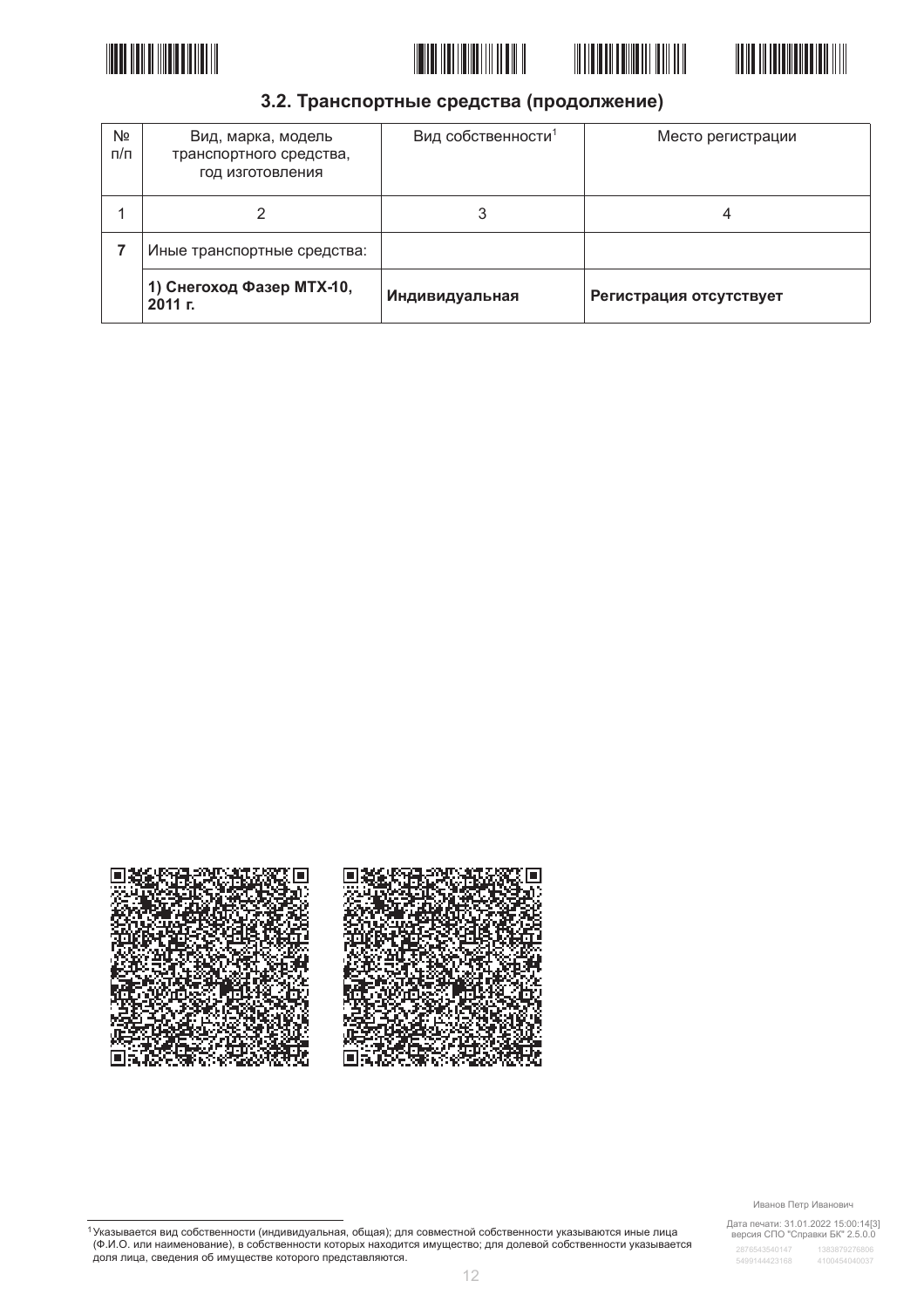







# 3.2. Транспортные средства (продолжение)

| N <sub>2</sub><br>п/п | Вид, марка, модель<br>транспортного средства,<br>год изготовления | Вид собственности <sup>1</sup> | Место регистрации       |
|-----------------------|-------------------------------------------------------------------|--------------------------------|-------------------------|
|                       |                                                                   |                                | 4                       |
|                       | Иные транспортные средства:                                       |                                |                         |
|                       | 1) Снегоход Фазер МТХ-10,<br>2011 F.                              | Индивидуальная                 | Регистрация отсутствует |



Иванов Петр Иванович

Дата печати: 31.01.2022 15:00:14[3]<br>версия СПО "Справки БК" 2.5.0.0

1 Указывается вид собственности (индивидуальная, общая); для совместной собственности указываются иные лица (Ф.И.О. или наименование), в собственности которых находится имущество; для долевой собственности указывается<br>доля лица, сведения об имуществе которого представляются.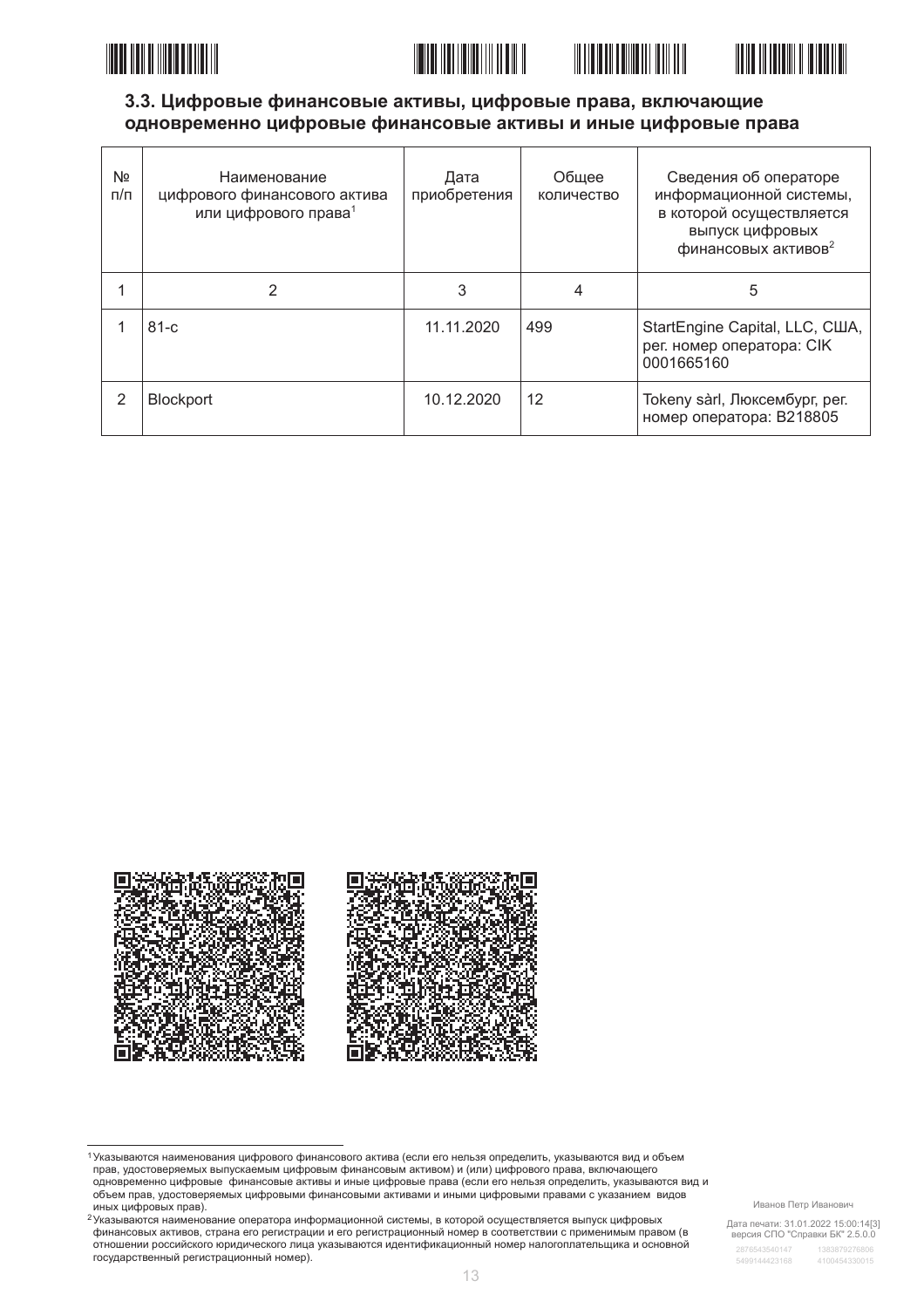





# 3.3. Цифровые финансовые активы, цифровые права, включающие одновременно цифровые финансовые активы и иные цифровые права

| Nº<br>$\pi/\pi$ | Наименование<br>цифрового финансового актива<br>или цифрового права <sup>1</sup> | Дата<br>приобретения | Обшее<br>количество | Сведения об операторе<br>информационной системы,<br>в которой осуществляется<br>выпуск цифровых<br>финансовых активов <sup>2</sup> |
|-----------------|----------------------------------------------------------------------------------|----------------------|---------------------|------------------------------------------------------------------------------------------------------------------------------------|
|                 | 2                                                                                | 3                    | 4                   | 5                                                                                                                                  |
|                 | $81-c$                                                                           | 11.11.2020           | 499                 | StartEngine Capital, LLC, CШA,<br>рег. номер оператора: CIK<br>0001665160                                                          |
| 2               | <b>Blockport</b>                                                                 | 10.12.2020           | 12                  | Tokeny sàrl, Люксембург, рег.<br>номер оператора: B218805                                                                          |



1 Указываются наименования цифрового финансового актива (если его нельзя определить, указываются вид и объем<br>прав, удостоверяемых выпускаемым цифровым финансовым активом) и (или) цифрового права, включающего правления представительности и правительности и правительности и последниками и представить и последниками с с<br>В представительно дифровые финансовые активы и иные цифровые права (если его нельзя определить, указываются ви объем прав, удостоверяемых цифровыми финансовыми активами и иными цифровыми правами с указанием видов иных цифровых прав).

<sup>2</sup> Указываются наименование оператора информационной системы, в которой осуществляется выпуск цифровых финансовых активов, страна его регистрации и его регистрационный номер в соответствии с применимым правом (в отношении российского юридического лица указываются идентификационный номер налогоплательщика и основной государственный регистрационный номер).

Иванов Петр Иванович

Дата печати: 31.01.2022 15:00:14[3]<br>версия СПО "Справки БК" 2.5.0.0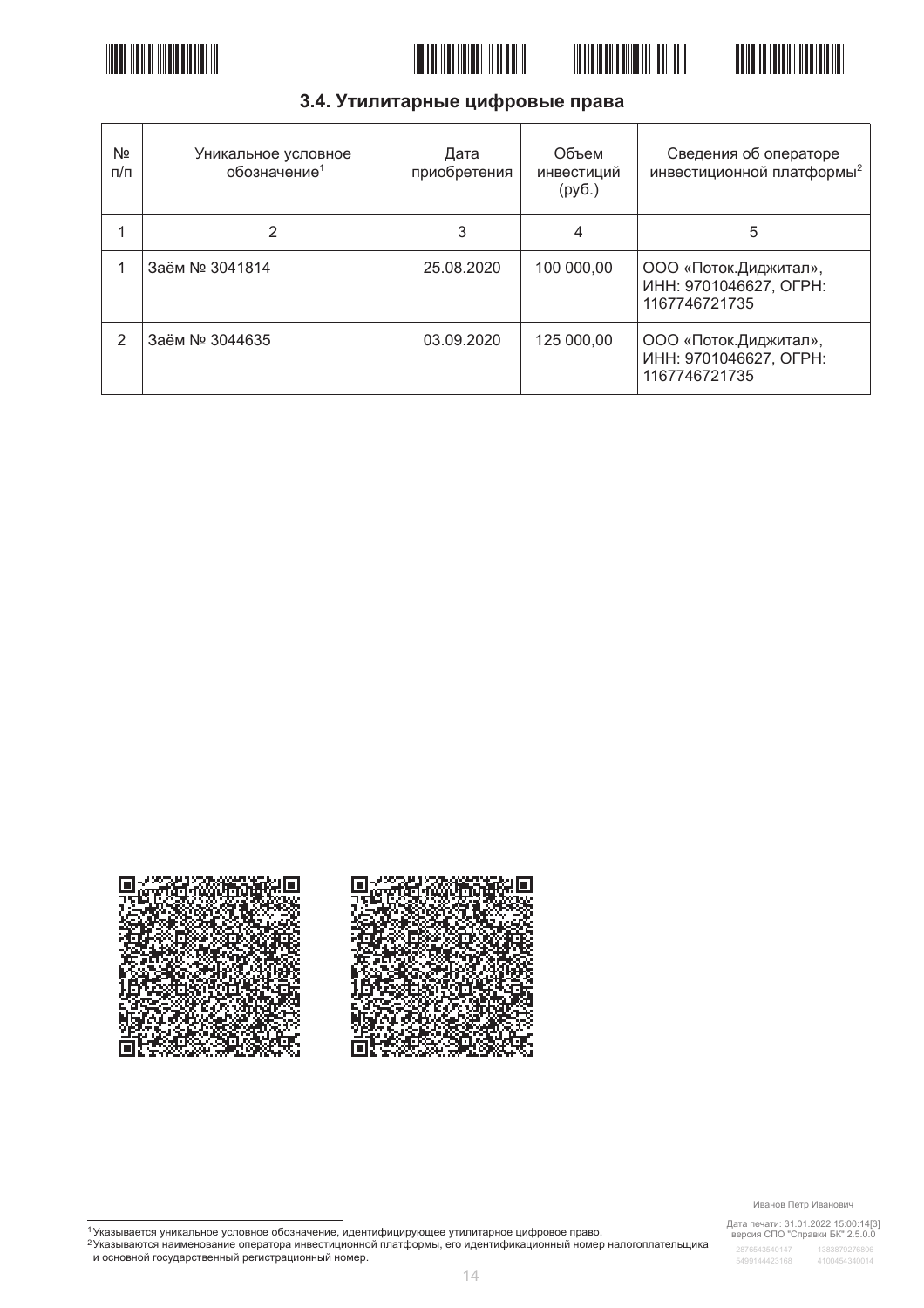







# 3.4. Утилитарные цифровые права

| Nº<br>п/п | Уникальное условное<br>обозначение <sup>1</sup> | Дата<br>приобретения | Объем<br>инвестиций<br>(py6.) | Сведения об операторе<br>инвестиционной платформы <sup>2</sup>    |
|-----------|-------------------------------------------------|----------------------|-------------------------------|-------------------------------------------------------------------|
|           | 2                                               | 3                    | 4                             | 5                                                                 |
|           | Заём № 3041814                                  | 25.08.2020           | 100 000,00                    | ООО «Поток. Диджитал»,<br>ИНН: 9701046627, ОГРН:<br>1167746721735 |
| 2         | Заём № 3044635                                  | 03.09.2020           | 125 000,00                    | ООО «Поток. Диджитал»,<br>ИНН: 9701046627, ОГРН:<br>1167746721735 |



Иванов Петр Иванович

Дата печати: 31.01.2022 15:00:14[3]<br>версия СПО "Справки БК" 2.5.0.0

<sup>1</sup>Указывается уникальное условное обозначение, идентифицирующее утилитарное цифровое право.<br><sup>2</sup>Указываются наименование оператора инвестиционной платформы, его идентификационный номер налогоплательщика<br>и основной государ

 $14$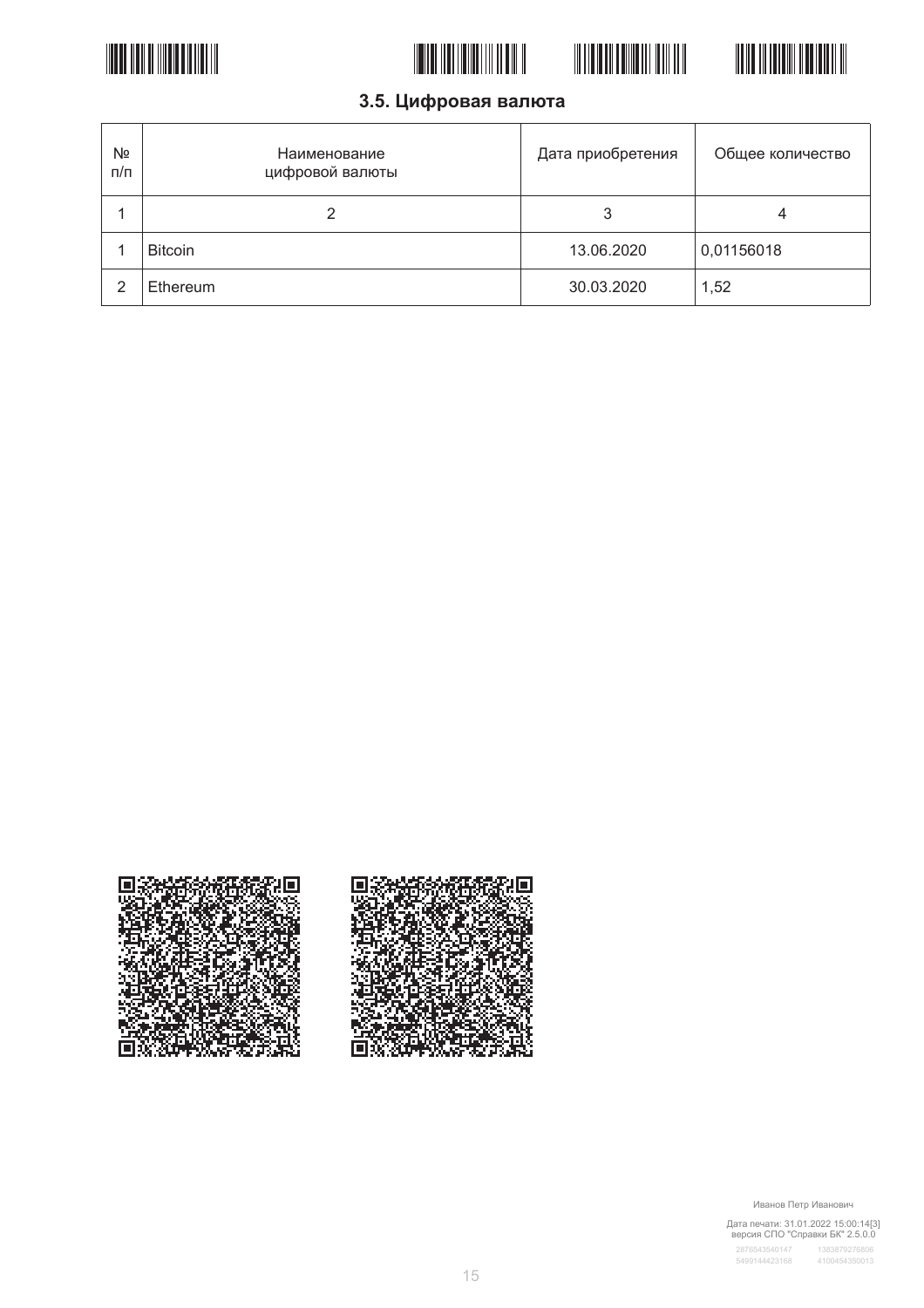





3.5. Цифровая валюта

| Nº<br>п/п | Наименование<br>цифровой валюты | Дата приобретения | Общее количество |
|-----------|---------------------------------|-------------------|------------------|
|           |                                 |                   | 4                |
|           | <b>Bitcoin</b>                  | 13.06.2020        | 0,01156018       |
| っ         | Ethereum                        | 30.03.2020        | 1,52             |



Иванов Петр Иванович

Дата печати: 31.01.2022 15:00:14[3]<br>версия СПО "Справки БК" 2.5.0.0

T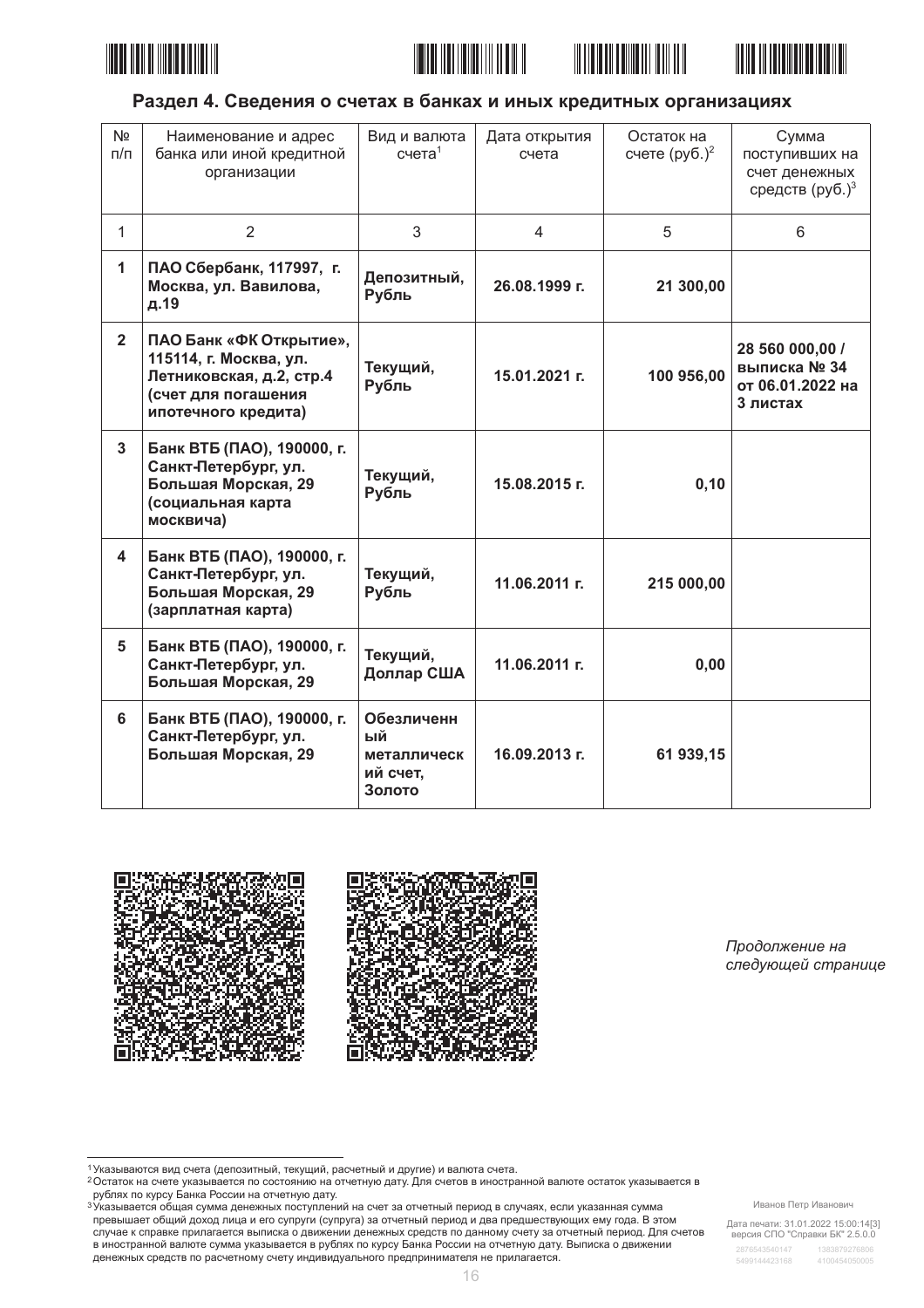







# Раздел 4. Сведения о счетах в банках и иных кредитных организациях

| N <sub>2</sub><br>$\Box/\Box$ | Наименование и адрес<br>банка или иной кредитной<br>организации                                                             | Вид и валюта<br>$c$ чета $1$                          | Дата открытия<br>счета | Остаток на<br>счете $(py6.)^2$ | Сумма<br>поступивших на<br>счет денежных<br>средств (руб.) <sup>3</sup> |
|-------------------------------|-----------------------------------------------------------------------------------------------------------------------------|-------------------------------------------------------|------------------------|--------------------------------|-------------------------------------------------------------------------|
| $\mathbf{1}$                  | $\overline{2}$                                                                                                              | 3                                                     | $\overline{4}$         | 5                              | 6                                                                       |
| 1                             | ПАО Сбербанк, 117997, г.<br>Москва, ул. Вавилова,<br>д.19                                                                   | Депозитный,<br>Рубль                                  | 26.08.1999 г.          | 21 300,00                      |                                                                         |
| $\overline{2}$                | ПАО Банк «ФК Открытие»,<br>115114, г. Москва, ул.<br>Летниковская, д.2, стр.4<br>(счет для погашения<br>ипотечного кредита) | Текущий,<br>Рубль                                     | 15.01.2021 г.          | 100 956,00                     | 28 560 000,00 /<br>выписка № 34<br>от 06.01.2022 на<br>3 листах         |
| $\overline{3}$                | Банк ВТБ (ПАО), 190000, г.<br>Санкт-Петербург, ул.<br>Большая Морская, 29<br>(социальная карта<br>москвича)                 | Текущий,<br>Рубль                                     | 15.08.2015 г.          | 0, 10                          |                                                                         |
| 4                             | Банк ВТБ (ПАО), 190000, г.<br>Санкт-Петербург, ул.<br>Большая Морская, 29<br>(зарплатная карта)                             | Текущий,<br>Рубль                                     | 11.06.2011 г.          | 215 000,00                     |                                                                         |
| 5                             | Банк ВТБ (ПАО), 190000, г.<br>Санкт-Петербург, ул.<br>Большая Морская, 29                                                   | Текущий,<br>Доллар США                                | 11.06.2011 г.          | 0,00                           |                                                                         |
| 6                             | Банк ВТБ (ПАО), 190000, г.<br>Санкт-Петербург, ул.<br>Большая Морская, 29                                                   | Обезличенн<br>ый<br>металлическ<br>ий счет,<br>Золото | 16.09.2013 г.          | 61 939,15                      |                                                                         |



Продолжение на следующей странице

Иванов Петр Иванович

Дата печати: 31.01.2022 15:00:14[3]<br>версия СПО "Справки БК" 2.5.0.0

<sup>1</sup> Указываются вид счета (депозитный, текущий, расчетный и другие) и валюта счета.

о отношения с не примерения и состоянию на отчетную дату. Для счетов в иностранной валюте остаток указывается в<br>Ростаток на счете указывается по состоянию на отчетную дату. Для счетов в иностранной валюте остаток указывае оматок на ответите дату. Для основе и постранной вании в сего и постранной вании остаток указыва.<br>В ублях по курсу Банка России на отчетную дату.<br><sup>3</sup> Указывается общая сумма денежных поступлений на счет за отчетный период

превышает общий доход лица и его супруги (супруга) за отчетный период и два предшествующих ему года. В этом просышает сощил досод лица и сто супруги (супруга) за отчетным период и два предалеет от редиктной период. Для<br>В иностранной валюте сумма указывается в рублях по курсу Банка России на отчетную дату. Выписка о движении в денежных средств по расчетному счету индивидуального предпринимателя не прилагается.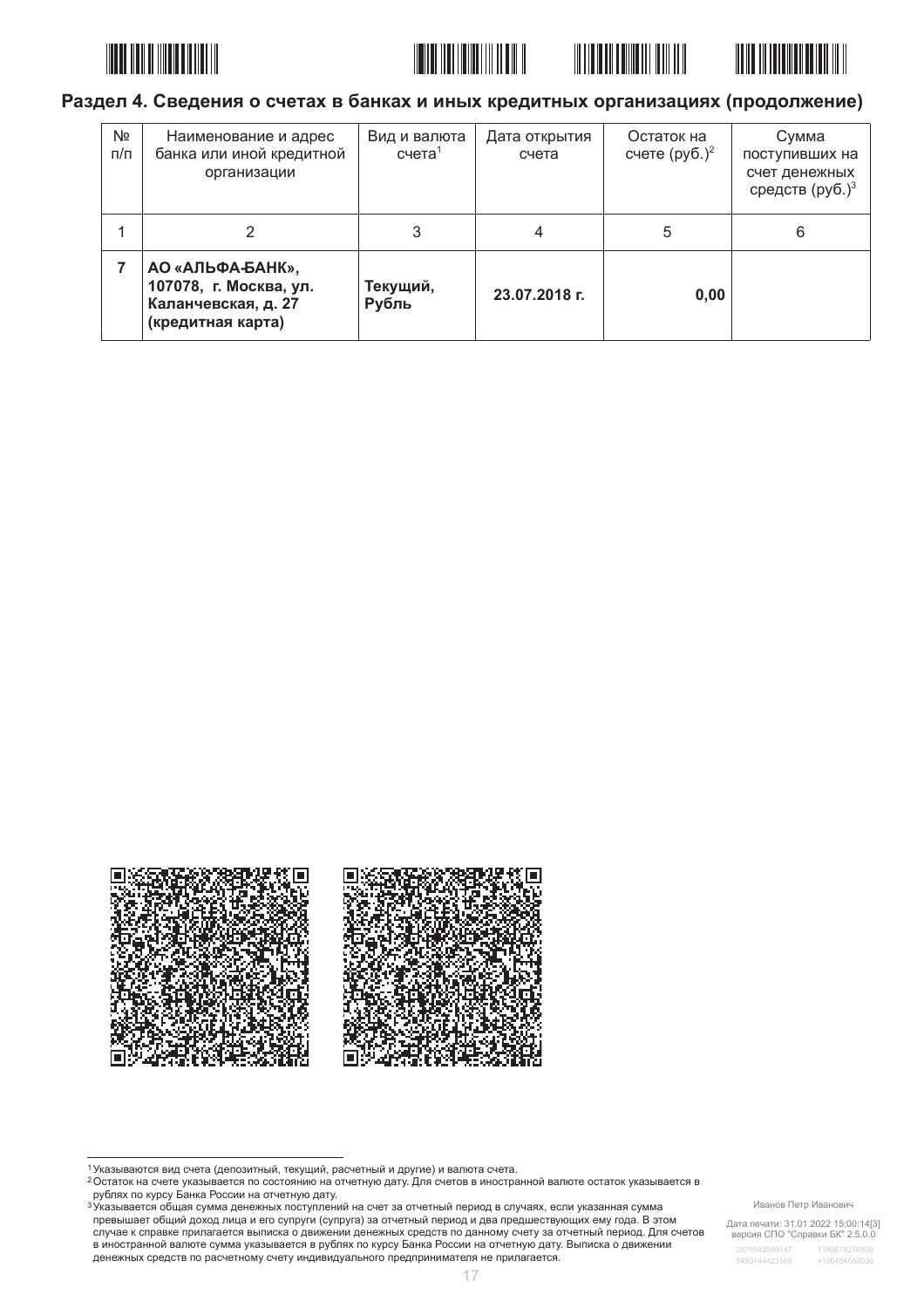







# Раздел 4. Сведения о счетах в банках и иных кредитных организациях (продолжение)

| Nº<br>$\pi/\pi$ | Наименование и адрес<br>банка или иной кредитной<br>организации                        | Вид и валюта<br>$c$ чета <sup>1</sup> | Дата открытия<br>счета | Остаток на<br>счете $(p\nu 6.)^2$ | Сумма<br>поступивших на<br>счет денежных<br>средств (руб.) <sup>3</sup> |
|-----------------|----------------------------------------------------------------------------------------|---------------------------------------|------------------------|-----------------------------------|-------------------------------------------------------------------------|
|                 |                                                                                        | 3                                     | 4                      | 5                                 | 6                                                                       |
|                 | АО «АЛЬФА-БАНК»,<br>107078, г. Москва, ул.<br>Каланчевская, д. 27<br>(кредитная карта) | Текущий,<br>Рубль                     | 23.07.2018 г.          | 0,00                              |                                                                         |



о отношения с не примерения и состоянию на отчетную дату. Для счетов в иностранной валюте остаток указывается в<br>Ростаток на счете указывается по состоянию на отчетную дату. Для счетов в иностранной валюте остаток указывае оматок на ответите дату. Для основе и постранной вании в сего и постранной вании остаток указыва.<br>В ублях по курсу Банка России на отчетную дату.<br><sup>3</sup> Указывается общая сумма денежных поступлений на счет за отчетный период

превышает общий доход лица и его супруги (супруга) за отчетный период и два предшествующих ему года. В этом просышает сощил досод лица и сто супруги (супруга) за отчетным период и два предалеет от редиктной период. Для<br>В иностранной валюте сумма указывается в рублях по курсу Банка России на отчетную дату. Выписка о движении в денежных средств по расчетному счету индивидуального предпринимателя не прилагается.

#### Иванов Петр Иванович

Дата печати: 31.01.2022 15:00:14[3]<br>версия СПО "Справки БК" 2.5.0.0

<sup>1</sup> Указываются вид счета (депозитный, текущий, расчетный и другие) и валюта счета.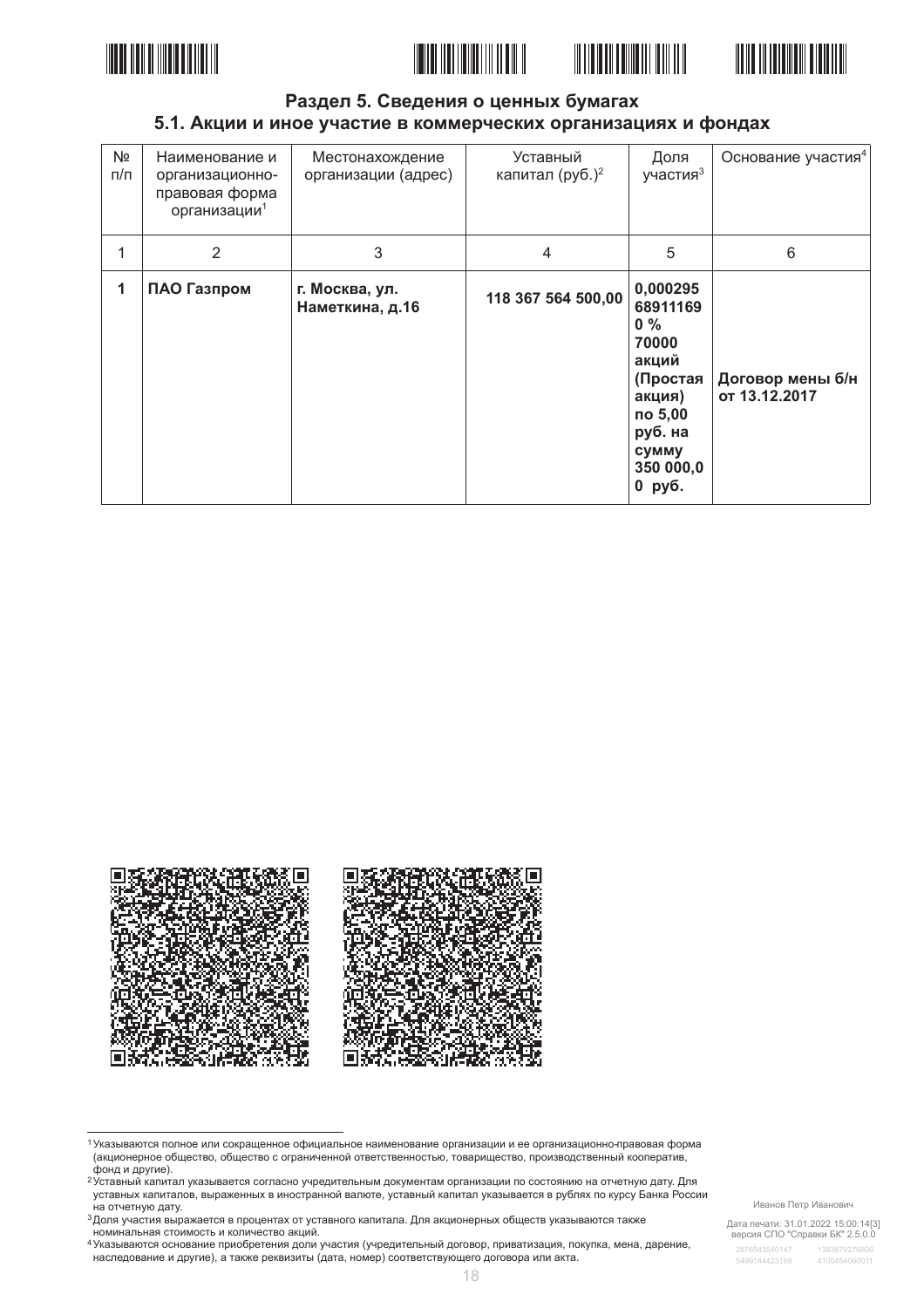





#### Раздел 5. Сведения о ценных бумагах 5.1. Акции и иное участие в коммерческих организациях и фондах

| N <sub>2</sub><br>$\Pi/\Pi$ | Наименование и<br>организационно-<br>правовая форма<br>организации <sup>1</sup> | Местонахождение<br>организации (адрес) | Уставный<br>капитал (руб.) <sup>2</sup> | Доля<br>участия <sup>3</sup>                                                                                                | Основание участия <sup>4</sup>    |
|-----------------------------|---------------------------------------------------------------------------------|----------------------------------------|-----------------------------------------|-----------------------------------------------------------------------------------------------------------------------------|-----------------------------------|
| 1                           | 2                                                                               | 3                                      | $\overline{4}$                          | 5                                                                                                                           | 6                                 |
| 1                           | ПАО Газпром                                                                     | г. Москва, ул.<br>Наметкина, д.16      | 118 367 564 500,00                      | 0,000295<br>68911169<br>$0\%$<br>70000<br>акций<br>(Простая<br>акция)<br>по 5,00<br>руб. на<br>сумму<br>350 000,0<br>0 руб. | Договор мены б/н<br>от 13.12.2017 |



<sup>1</sup> Указываются полное или сокращенное официальное наименование организации и ее организационно-правовая форма (акционерное общество, общество с ограниченной ответственностью, товарищество, производственный кооператив,<br>фонд и другие).

Дата печати: 31.01.2022 15:00:14[3]<br>версия СПО "Справки БК" 2.5.0.0

о ставный капитал указывается согласно учредительным документам организации по состоянию на отчетную дату. Для уставных капиталов, выраженных в иностранной валюте, уставный капитал указывается в рублях по курсу Банка России на отчетную дату.

<sup>&</sup>lt;sup>3</sup> Доля участия выражается в процентах от уставного капитала. Для акционерных обществ указываются также

доля у кастительных согластов пределяются и делалости.<br>номинальная стоимость и количество акций.<br><sup>4</sup> Указываются основание приобретения доли участия (учредительный договор, приватизация, покупка, мена, дарение, наследование и другие), а также реквизиты (дата, номер) соответствующего договора или акта.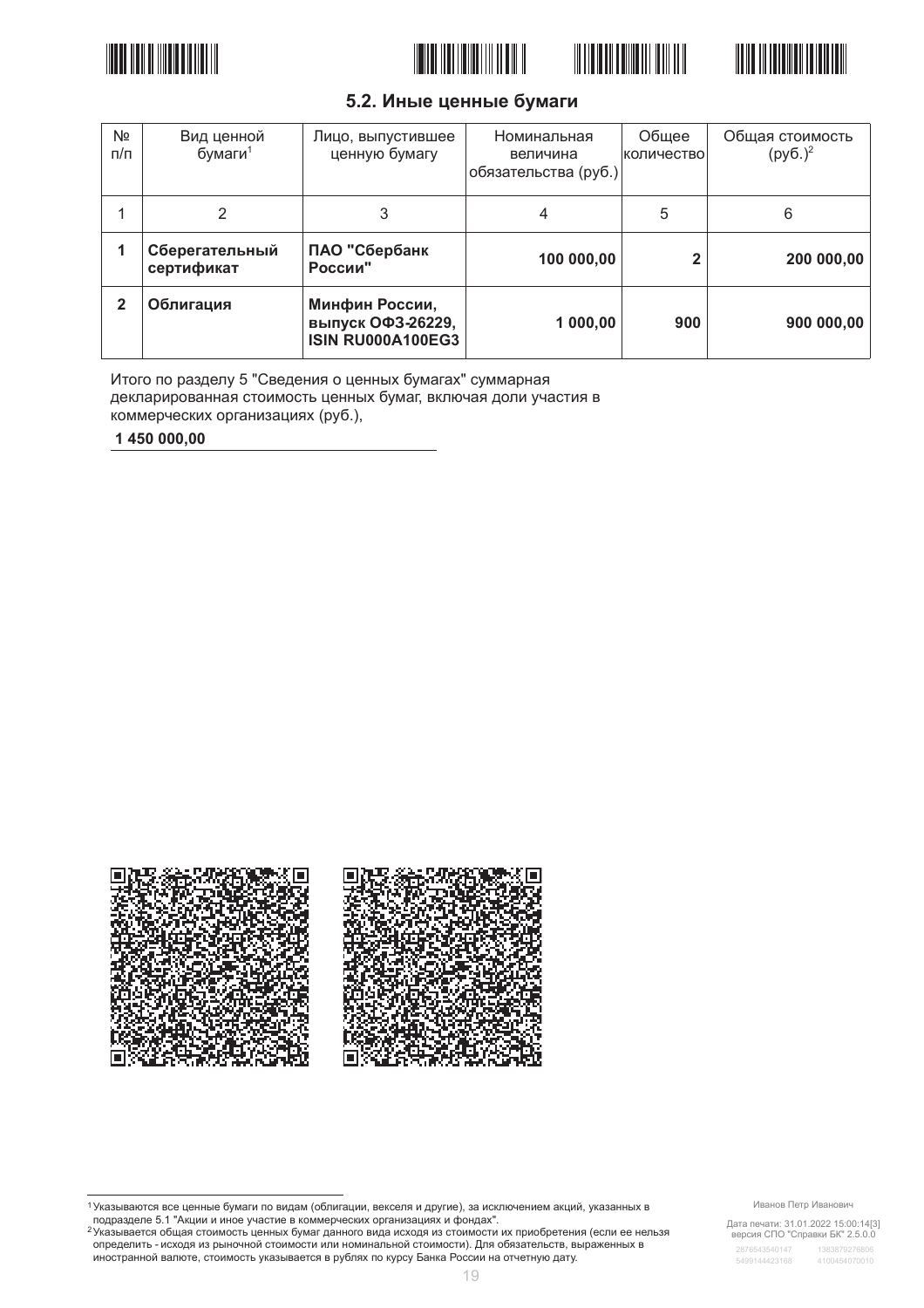







# 5.2. Иные ценные бумаги

| N <sub>2</sub><br>$\pi/\pi$ | Вид ценной<br>бумаги $1$     | Лицо, выпустившее<br>ценную бумагу                              | Номинальная<br>величина<br>обязательства (руб.) | Общее<br>количество | Общая стоимость<br>$(py6.)^2$ |
|-----------------------------|------------------------------|-----------------------------------------------------------------|-------------------------------------------------|---------------------|-------------------------------|
|                             | 2                            | 3                                                               | 4                                               | 5                   | 6                             |
|                             | Сберегательный<br>сертификат | ПАО "Сбербанк<br>России"                                        | 100 000,00                                      |                     | 200 000,00                    |
| $\mathbf{2}$                | Облигация                    | Минфин России,<br>выпуск ОФЗ-26229,<br><b>ISIN RU000A100EG3</b> | 1 000,00                                        | 900                 | 900 000,00                    |

Итого по разделу 5 "Сведения о ценных бумагах" суммарная декларированная стоимость ценных бумаг, включая доли участия в коммерческих организациях (руб.),

1450 000.00



Дата печати: 31.01.2022 15:00:14[3]<br>версия СПО "Справки БК" 2.5.0.0

<sup>&</sup>lt;sup>1</sup> Указываются все ценные бумаги по видам (облигации, векселя и другие), за исключением акций, указанных в<br>подразделе 5.1 "Акции и иное участие в коммерческих организациях и фондах".

<sup>2</sup> Указывается общая стоимость ценных бумаг данного вида исходя из стоимости их приобретения (если ее нельзя определить - исходя из рыночной стоимости или номинальной стоимости). Для обязательств, выраженных в иностранной валюте, стоимость указывается в рублях по курсу Банка России на отчетную дату.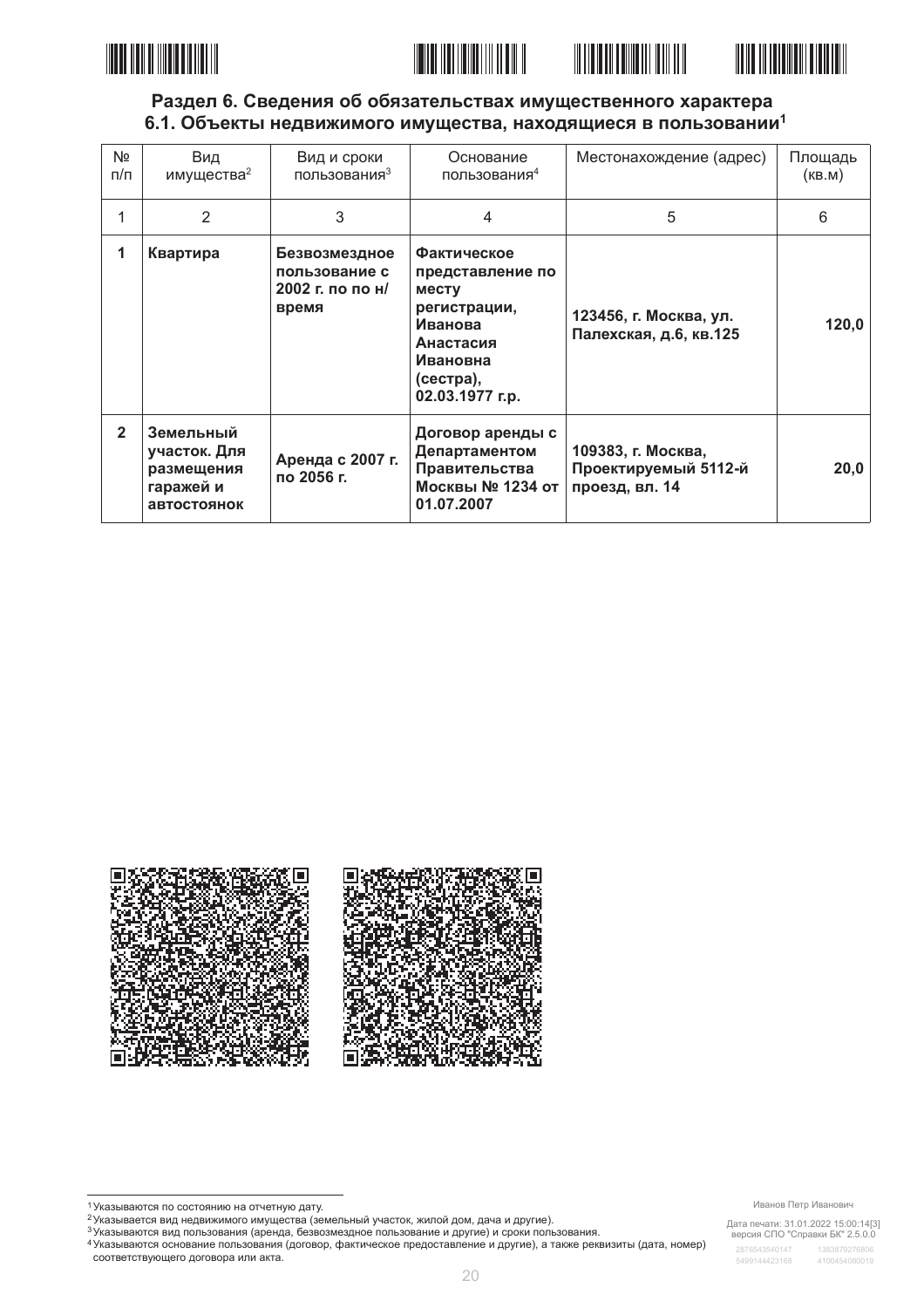





# Раздел 6. Сведения об обязательствах имущественного характера 6.1. Объекты недвижимого имущества, находящиеся в пользовании<sup>1</sup>

| Nº<br>$\pi/\pi$ | Вид<br>имущества <sup>2</sup>                                       | Вид и сроки<br>пользования <sup>3</sup>                     | Основание<br>пользования <sup>4</sup>                                                                                               | Местонахождение (адрес)                                      | Площадь<br>(KB.M) |
|-----------------|---------------------------------------------------------------------|-------------------------------------------------------------|-------------------------------------------------------------------------------------------------------------------------------------|--------------------------------------------------------------|-------------------|
| 1               | $\mathfrak{p}$                                                      | 3                                                           | 4                                                                                                                                   | 5                                                            | 6                 |
| 1               | Квартира                                                            | Безвозмездное<br>пользование с<br>2002 г. по по н/<br>время | <b>Фактическое</b><br>представление по<br>месту<br>регистрации,<br>Иванова<br>Анастасия<br>Ивановна<br>(сестра),<br>02.03.1977 г.р. | 123456, г. Москва, ул.<br>Палехская, д.6, кв.125             | 120,0             |
| $\overline{2}$  | Земельный<br>участок. Для<br>размещения<br>гаражей и<br>автостоянок | Аренда с 2007 г.<br>по 2056 г.                              | Договор аренды с<br>Департаментом<br>Правительства<br>Москвы № 1234 от<br>01.07.2007                                                | 109383, г. Москва,<br>Проектируемый 5112-й<br>проезд, вл. 14 | 20,0              |



соответствующего договора или акта.

Дата печати: 31.01.2022 15:00:14[3]<br>версия СПО "Справки БК" 2.5.0.0

<sup>1</sup> Указываются по состоянию на отчетную дату.

главывается вид недвижимого имущества (земельный участок, жилой дом, дача и другие).

<sup>3</sup> Указываются вид пользования (аренда, безвозмездное пользование и другие) и сроки пользования. и на выскости странительно странить (договор, фактическое предоставление и другие), а также реквизиты (дата, номер)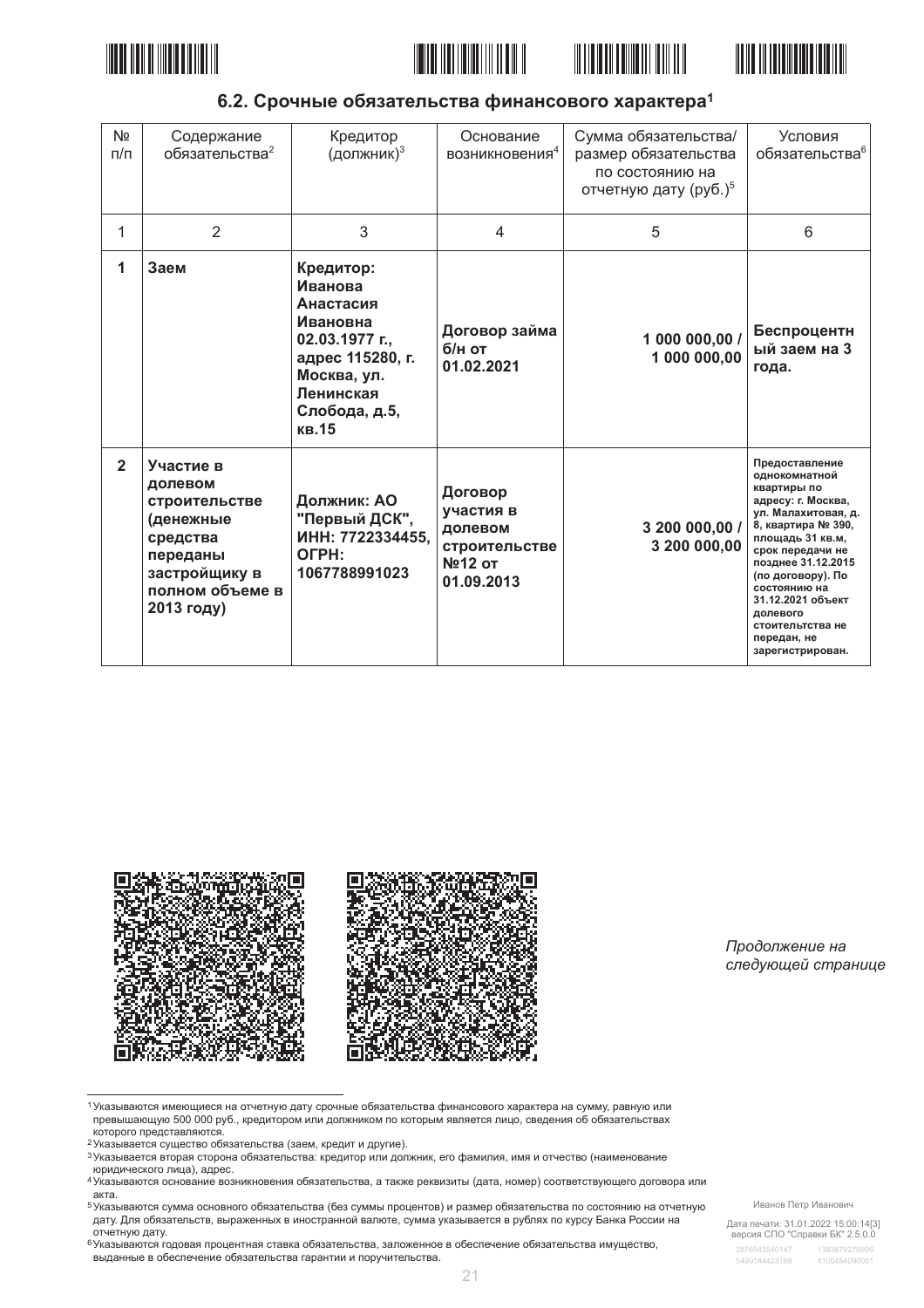







6.2. Срочные обязательства финансового характера<sup>1</sup>

| N <sub>2</sub><br>n/n | Содержание<br>обязательства <sup>2</sup>                                                                                     | Кредитор<br>(должник) <sup>3</sup>                                                                                                        | Основание<br>возникновения <sup>4</sup>                                  | Сумма обязательства/<br>размер обязательства<br>по состоянию на<br>отчетную дату (руб.) <sup>5</sup> | Условия<br>обязательства <sup>6</sup>                                                                                                                                                                                                                                                                        |
|-----------------------|------------------------------------------------------------------------------------------------------------------------------|-------------------------------------------------------------------------------------------------------------------------------------------|--------------------------------------------------------------------------|------------------------------------------------------------------------------------------------------|--------------------------------------------------------------------------------------------------------------------------------------------------------------------------------------------------------------------------------------------------------------------------------------------------------------|
| 1                     | $\overline{2}$                                                                                                               | 3                                                                                                                                         | 4                                                                        | 5                                                                                                    | 6                                                                                                                                                                                                                                                                                                            |
| 1                     | Заем                                                                                                                         | Кредитор:<br>Иванова<br>Анастасия<br>Ивановна<br>02.03.1977 г.,<br>адрес 115280, г.<br>Москва, ул.<br>Ленинская<br>Слобода, д.5,<br>кв.15 | Договор займа<br>б/н от<br>01.02.2021                                    | 1 000 000,00 /<br>1 000 000,00                                                                       | Беспроцентн<br>ый заем на 3<br>года.                                                                                                                                                                                                                                                                         |
| $\overline{2}$        | Участие в<br>долевом<br>строительстве<br>(денежные<br>средства<br>переданы<br>застройщику в<br>полном объеме в<br>2013 году) | Должник: АО<br>"Первый ДСК",<br>ИНН: 7722334455.<br>OFPH:<br>1067788991023                                                                | Договор<br>участия в<br>долевом<br>строительстве<br>№12 от<br>01.09.2013 | 3 200 000,00 /<br>3 200 000,00                                                                       | Предоставление<br>однокомнатной<br>квартиры по<br>адресу: г. Москва,<br>ул. Малахитовая, д.<br>8, квартира № 390,<br>площадь 31 кв.м,<br>срок передачи не<br>позднее 31.12.2015<br>(по договору). По<br>состоянию на<br>31.12.2021 объект<br>долевого<br>стоительтства не<br>передан, не<br>зарегистрирован. |



Продолжение на следующей странице

1 Указываются имеющиеся на отчетную дату срочные обязательства финансового характера на сумму, равную или превышающую 500 000 руб., кредитором или должником по которым является лицо, сведения об обязательствах которого представляются.

- е которого предотавляются:<br>2 Указывается существо обязательства (заем, кредит и другие).
- з насывается вторая сторона обязательства: кредитор или должник, его фамилия, имя и отчество (наименование юридического лица), адрес.
- и средительности и последние возникновения обязательства, а также реквизиты (дата, номер) соответствующего договора или<br>4 Указываются основание возникновения обязательства, а также реквизиты (дата, номер) соответствующего акта.

5 Указываются сумма основного обязательства (без суммы процентов) и размер обязательства по состоянию на отчетную дату. Для обязательств, выраженных в иностранной валюте, сумма указывается в рублях по курсу Банка России на

дату. для этого послед<br>отчетную дату.<br><sup>6</sup>Указываются годовая процентная ставка обязательства, заложенное в обеспечение обязательства имущество, выданные в обеспечение обязательства гарантии и поручительства.

Иванов Петр Иванович

Дата печати: 31.01.2022 15:00:14[3]<br>версия СПО "Справки БК" 2.5.0.0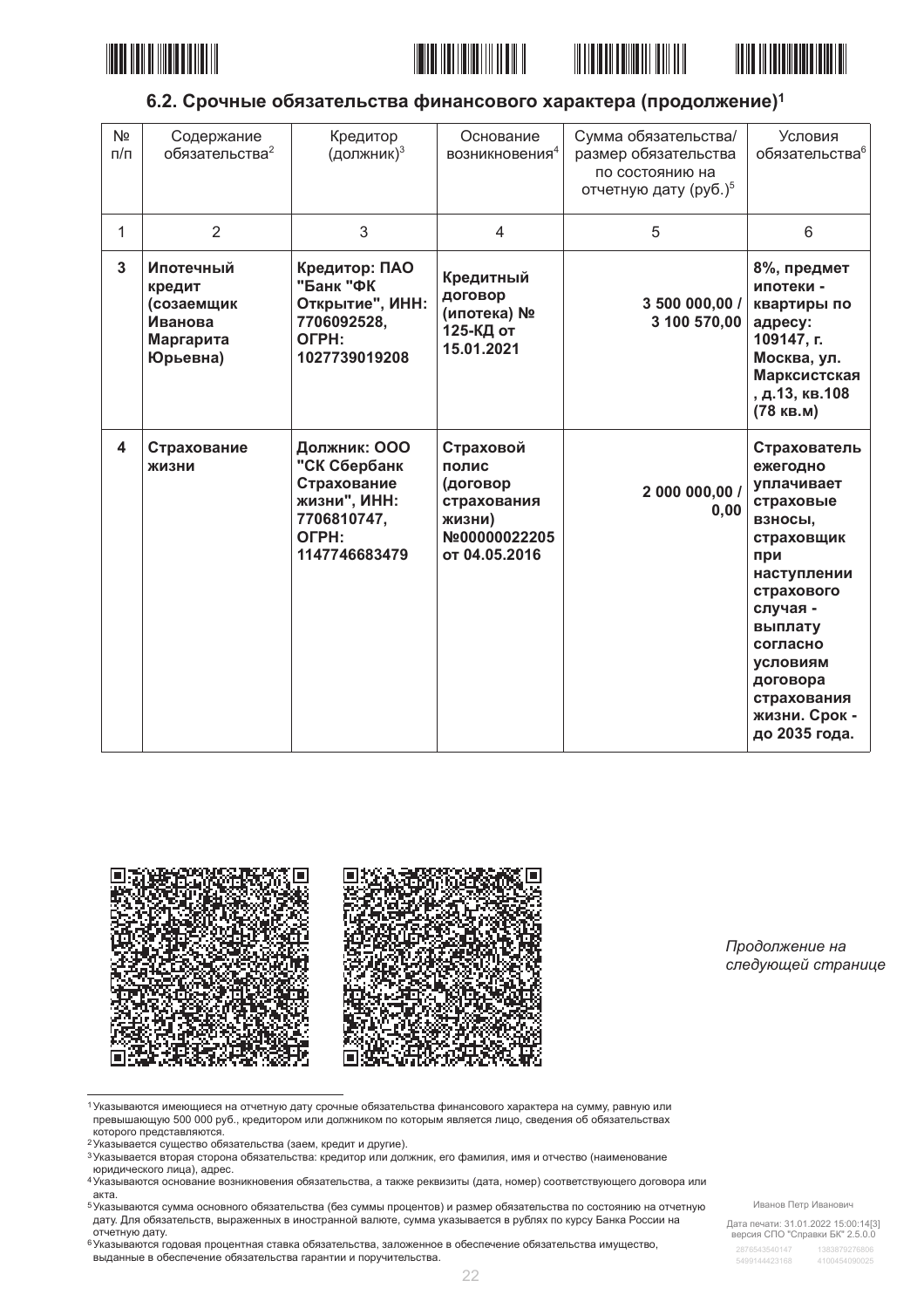







# 6.2. Срочные обязательства финансового характера (продолжение)<sup>1</sup>

| N <sub>2</sub><br>$\pi/\pi$ | Содержание<br>обязательства <sup>2</sup>                              | Кредитор<br>(должник) <sup>3</sup>                                                                   | Основание<br>возникновения <sup>4</sup>                                                   | Сумма обязательства/<br>размер обязательства<br>по состоянию на<br>отчетную дату (руб.) <sup>5</sup> | Условия<br>обязательства <sup>6</sup>                                                                                                                                                                                               |
|-----------------------------|-----------------------------------------------------------------------|------------------------------------------------------------------------------------------------------|-------------------------------------------------------------------------------------------|------------------------------------------------------------------------------------------------------|-------------------------------------------------------------------------------------------------------------------------------------------------------------------------------------------------------------------------------------|
| 1                           | $\overline{2}$                                                        | 3                                                                                                    | $\overline{4}$                                                                            | 5                                                                                                    | 6                                                                                                                                                                                                                                   |
| 3                           | Ипотечный<br>кредит<br>(созаемщик<br>Иванова<br>Маргарита<br>Юрьевна) | Кредитор: ПАО<br>"Банк "ФК<br>Открытие", ИНН:<br>7706092528,<br>OFPH:<br>1027739019208               | Кредитный<br>договор<br>(ипотека) №<br>125-КД от<br>15.01.2021                            | 3 500 000,00 /<br>3 100 570,00                                                                       | 8%, предмет<br>ипотеки -<br>квартиры по<br>адресу:<br>109147, г.<br>Москва, ул.<br>Марксистская<br>, д.13, кв.108<br>(78 кв.м)                                                                                                      |
| 4                           | Страхование<br>ЖИЗНИ                                                  | Должник: ООО<br>"СК Сбербанк<br>Страхование<br>жизни", ИНН:<br>7706810747,<br>OFPH:<br>1147746683479 | Страховой<br>полис<br>(договор<br>страхования<br>жизни)<br>Nº00000022205<br>от 04.05.2016 | 2 000 000,00 /<br>0,00                                                                               | Страхователь<br>ежегодно<br>уплачивает<br>страховые<br>ВЗНОСЫ,<br>страховщик<br>при<br>наступлении<br>страхового<br>случая -<br>выплату<br>согласно<br><b>УСЛОВИЯМ</b><br>договора<br>страхования<br>жизни. Срок -<br>до 2035 года. |



Продолжение на следующей странице

1 Указываются имеющиеся на отчетную дату срочные обязательства финансового характера на сумму, равную или превышающую 500 000 руб., кредитором или должником по которым является лицо, сведения об обязательствах которого представляются.

- 2 Указывается существо обязательства (заем, кредит и другие).
- 3 Указывается вторая сторона обязательства: кредитор или должник, его фамилия, имя и отчество (наименование юридического лица), адрес.
- и средительности и последние возникновения обязательства, а также реквизиты (дата, номер) соответствующего договора или<br>4 Указываются основание возникновения обязательства, а также реквизиты (дата, номер) соответствующего акта.

5 Указываются сумма основного обязательства (без суммы процентов) и размер обязательства по состоянию на отчетную дату. Для обязательств, выраженных в иностранной валюте, сумма указывается в рублях по курсу Банка России на

доту, для эследителя<br>отчетную дату.<br>6 указываются годовая процентная ставка обязательства, заложенное в обеспечение обязательства имущество, выданные в обеспечение обязательства гарантии и поручительства.

Иванов Петр Иванович

Дата печати: 31.01.2022 15:00:14[3]<br>версия СПО "Справки БК" 2.5.0.0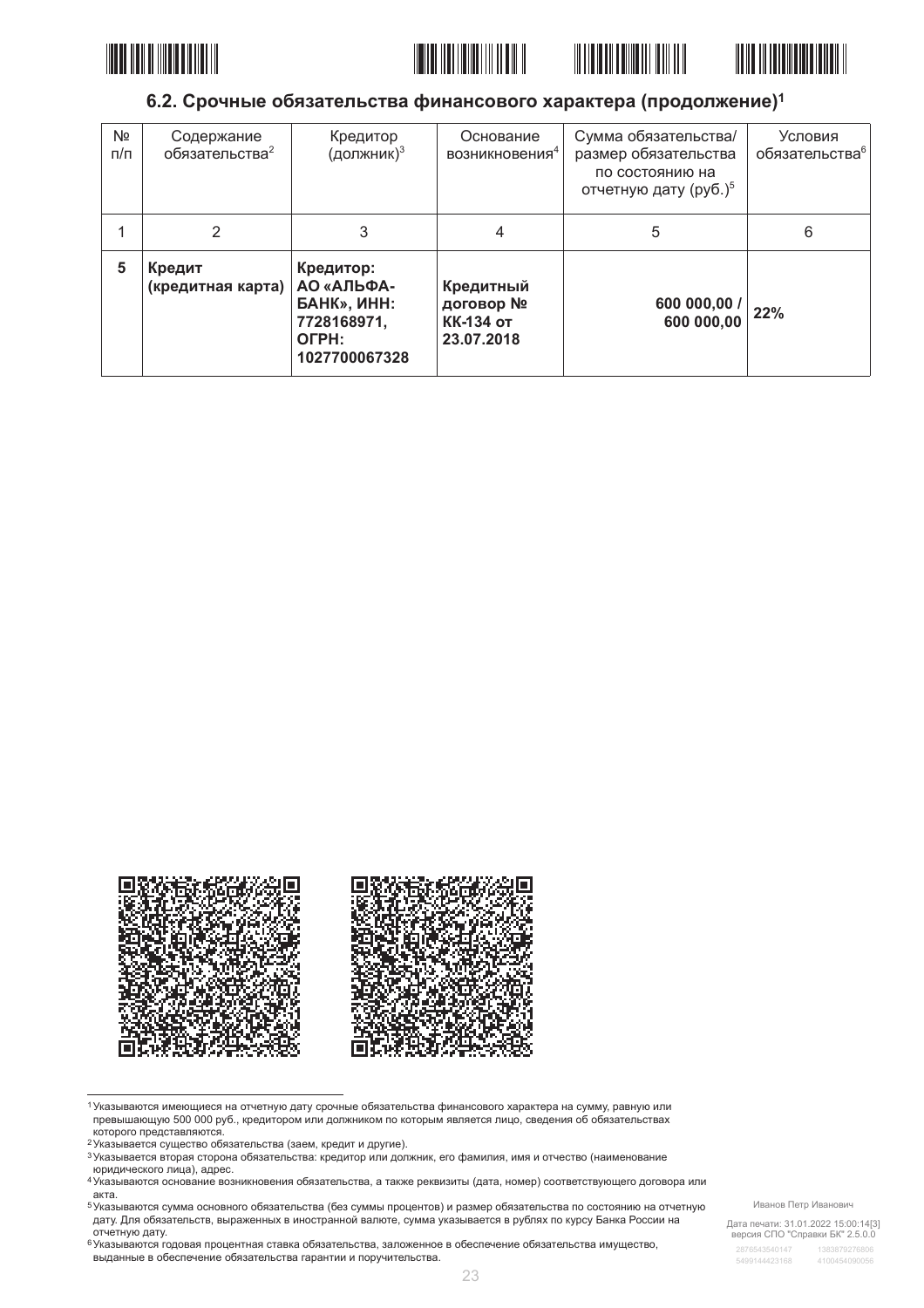







### 6.2. Срочные обязательства финансового характера (продолжение)<sup>1</sup>

| Nº<br>$\pi/\pi$ | Содержание<br>обязательства <sup>2</sup> | Кредитор<br>(должник) <sup>3</sup>                                                     | Основание<br>возникновения <sup>4</sup>                  | Сумма обязательства/<br>размер обязательства<br>по состоянию на<br>отчетную дату (руб.) <sup>5</sup> | Условия<br>обязательства <sup>6</sup> |
|-----------------|------------------------------------------|----------------------------------------------------------------------------------------|----------------------------------------------------------|------------------------------------------------------------------------------------------------------|---------------------------------------|
|                 | 2                                        | 3                                                                                      |                                                          | 5                                                                                                    | 6                                     |
| 5               | Кредит<br>(кредитная карта)              | Кредитор:<br>АО «АЛЬФА-<br><b>GAHK», ИНН:</b><br>7728168971,<br>OFPH:<br>1027700067328 | Кредитный<br>договор №<br><b>КК-134 от</b><br>23.07.2018 | 600 000,00<br>600 000,00                                                                             | 22%                                   |



1 Указываются имеющиеся на отчетную дату срочные обязательства финансового характера на сумму, равную или превышающую 500 000 руб., кредитором или должником по которым является лицо, сведения об обязательствах которого представляются.

е которого предотавляются:<br>2 Указывается существо обязательства (заем, кредит и другие).

з насывается вторая сторона обязательства: кредитор или должник, его фамилия, имя и отчество (наименование юридического лица), адрес.

и средительности и последние возникновения обязательства, а также реквизиты (дата, номер) соответствующего договора или<br>4 Указываются основание возникновения обязательства, а также реквизиты (дата, номер) соответствующего акта.

5 Указываются сумма основного обязательства (без суммы процентов) и размер обязательства по состоянию на отчетную дату. Для обязательств, выраженных в иностранной валюте, сумма указывается в рублях по курсу Банка России на

дату. для этого послед<br>отчетную дату.<br><sup>6</sup>Указываются годовая процентная ставка обязательства, заложенное в обеспечение обязательства имущество, выданные в обеспечение обязательства гарантии и поручительства.

Иванов Петр Иванович

Дата печати: 31.01.2022 15:00:14[3]<br>версия СПО "Справки БК" 2.5.0.0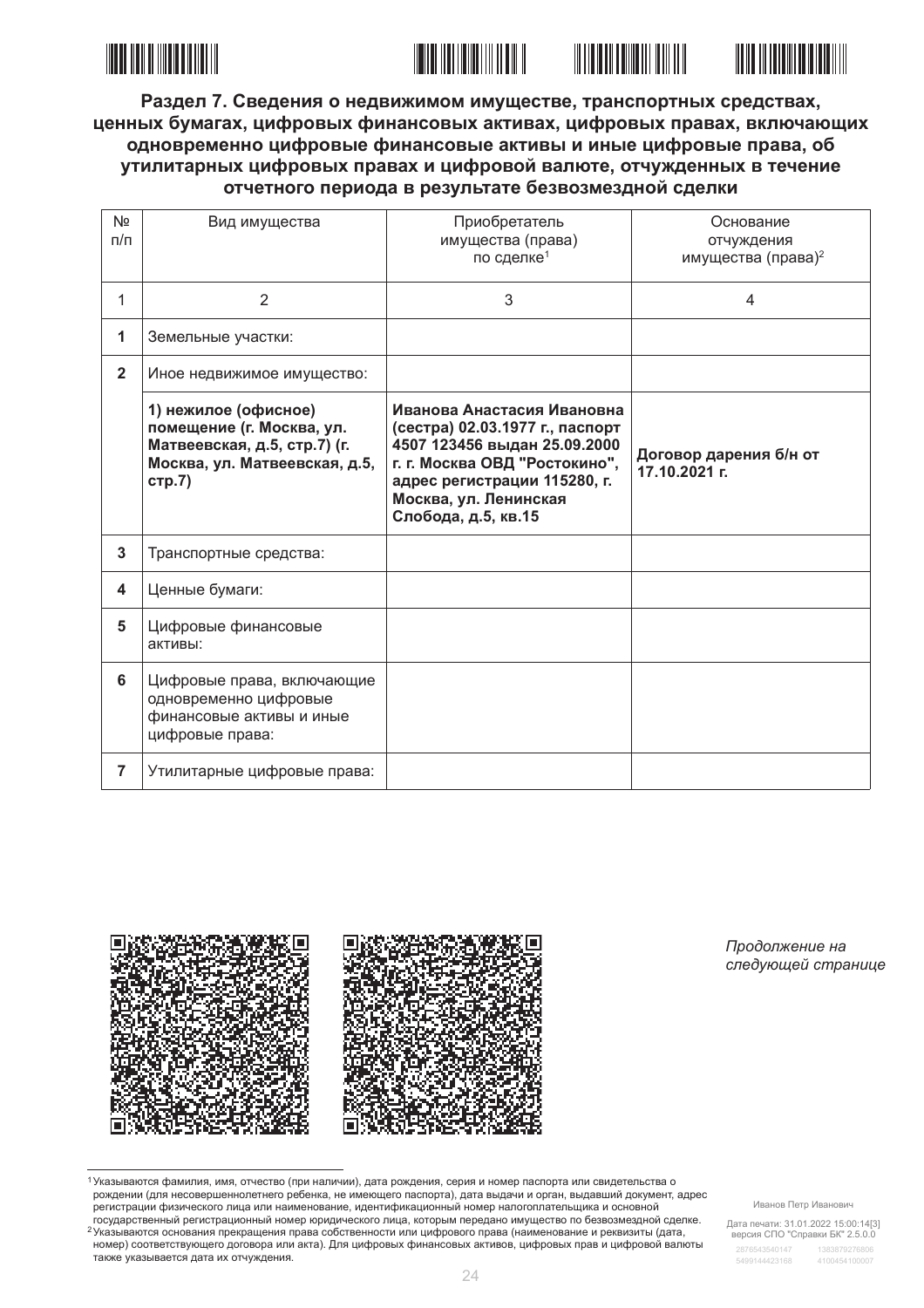



Раздел 7. Сведения о недвижимом имуществе, транспортных средствах, ценных бумагах, цифровых финансовых активах, цифровых правах, включающих одновременно цифровые финансовые активы и иные цифровые права, об утилитарных цифровых правах и цифровой валюте, отчужденных в течение отчетного периода в результате безвозмездной сделки

| Nº<br>$\Pi/\Pi$ | Вид имущества                                                                                                                | Приобретатель<br>имущества (права)<br>по сделке <sup>1</sup>                                                                                                                                                   | Основание<br>отчуждения<br>имущества (права) <sup>2</sup> |
|-----------------|------------------------------------------------------------------------------------------------------------------------------|----------------------------------------------------------------------------------------------------------------------------------------------------------------------------------------------------------------|-----------------------------------------------------------|
| 1               | $\overline{2}$                                                                                                               | 3                                                                                                                                                                                                              | 4                                                         |
| 1               | Земельные участки:                                                                                                           |                                                                                                                                                                                                                |                                                           |
| $\mathbf{2}$    | Иное недвижимое имущество:                                                                                                   |                                                                                                                                                                                                                |                                                           |
|                 | 1) нежилое (офисное)<br>помещение (г. Москва, ул.<br>Матвеевская, д.5, стр.7) (г.<br>Москва, ул. Матвеевская, д.5,<br>стр.7) | Иванова Анастасия Ивановна<br>(сестра) 02.03.1977 г., паспорт<br>4507 123456 выдан 25.09.2000<br>г. г. Москва ОВД "Ростокино",<br>адрес регистрации 115280, г.<br>Москва, ул. Ленинская<br>Слобода, д.5, кв.15 | Договор дарения б/н от<br>17.10.2021 г.                   |
| 3               | Транспортные средства:                                                                                                       |                                                                                                                                                                                                                |                                                           |
| 4               | Ценные бумаги:                                                                                                               |                                                                                                                                                                                                                |                                                           |
| 5               | Цифровые финансовые<br>активы:                                                                                               |                                                                                                                                                                                                                |                                                           |
| 6               | Цифровые права, включающие<br>одновременно цифровые<br>финансовые активы и иные<br>цифровые права:                           |                                                                                                                                                                                                                |                                                           |
| $\overline{7}$  | Утилитарные цифровые права:                                                                                                  |                                                                                                                                                                                                                |                                                           |



Продолжение на следующей странице

1 Указываются фамилия, имя, отчество (при наличии), дата рождения, серия и номер паспорта или свидетельства о рождении (для несовершеннолетнего ребенка, не имеющего паспорта), дата выдачи и орган, выдавший документ, адрес регистрации физического лица или наименование, идентификационный номер налогоплательщика и основной государственный регистрационный номер юридического лица, которым передано имущество по безвозмездной сделке. <sup>2</sup> Указываются основания прекращения права собственности или цифрового права (наименование и реквизиты (дата, номер) соответствующего договора или акта). Для цифровых финансовых активов, цифровых прав и цифровой валюты также указывается дата их отчуждения.

Иванов Петр Иванович

Дата печати: 31.01.2022 15:00:14[3]<br>версия СПО "Справки БК" 2.5.0.0